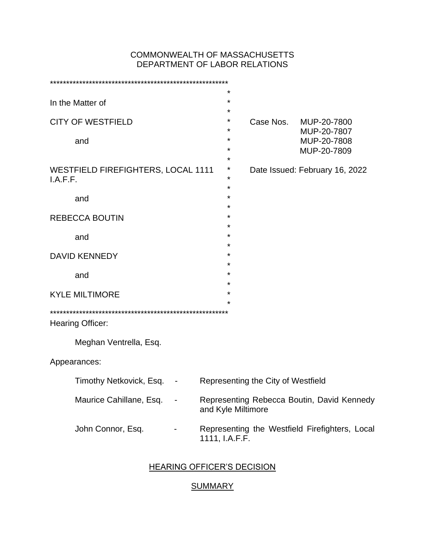#### COMMONWEALTH OF MASSACHUSETTS DEPARTMENT OF LABOR RELATIONS

| In the Matter of                                      |                           |          | *<br>*             |                                    |                                                |
|-------------------------------------------------------|---------------------------|----------|--------------------|------------------------------------|------------------------------------------------|
|                                                       |                           |          | *                  |                                    |                                                |
| <b>CITY OF WESTFIELD</b>                              |                           | *<br>*   | Case Nos.          | MUP-20-7800                        |                                                |
| and                                                   |                           |          | ÷                  |                                    | MUP-20-7807<br>MUP-20-7808                     |
|                                                       |                           |          | *                  |                                    | MUP-20-7809                                    |
|                                                       |                           |          | *<br>*             |                                    |                                                |
| <b>WESTFIELD FIREFIGHTERS, LOCAL 1111</b><br>I.A.F.F. |                           | $^\star$ |                    | Date Issued: February 16, 2022     |                                                |
|                                                       |                           |          | ÷                  |                                    |                                                |
| and                                                   |                           |          | *<br>*             |                                    |                                                |
| <b>REBECCA BOUTIN</b>                                 |                           |          | $^\star$           |                                    |                                                |
|                                                       |                           |          | *<br>$\star$       |                                    |                                                |
| and                                                   |                           |          | $\star$            |                                    |                                                |
| <b>DAVID KENNEDY</b>                                  |                           |          | *                  |                                    |                                                |
|                                                       |                           |          | $^\star$<br>*      |                                    |                                                |
| and                                                   |                           |          | *                  |                                    |                                                |
| <b>KYLE MILTIMORE</b>                                 |                           | *        |                    |                                    |                                                |
|                                                       |                           |          | $^\star$           |                                    |                                                |
| Hearing Officer:                                      |                           |          |                    |                                    |                                                |
|                                                       | Meghan Ventrella, Esq.    |          |                    |                                    |                                                |
|                                                       |                           |          |                    |                                    |                                                |
| Appearances:                                          |                           |          |                    |                                    |                                                |
|                                                       | Timothy Netkovick, Esq. - |          |                    | Representing the City of Westfield |                                                |
|                                                       | Maurice Cahillane, Esq.   |          | and Kyle Miltimore |                                    | Representing Rebecca Boutin, David Kennedy     |
|                                                       | John Connor, Esq.         |          | 1111, I.A.F.F.     |                                    | Representing the Westfield Firefighters, Local |
|                                                       |                           |          |                    |                                    |                                                |

### HEARING OFFICER'S DECISION

### **SUMMARY**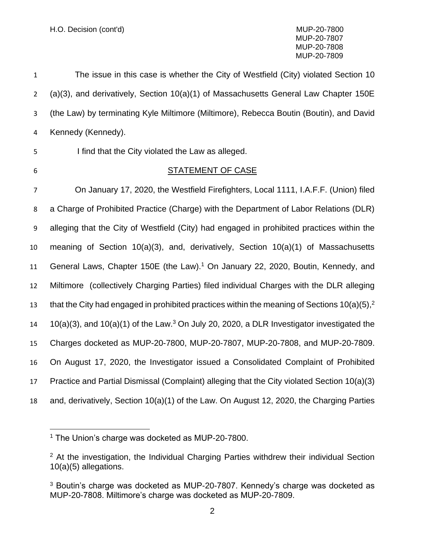| $\mathbf{1}$   | The issue in this case is whether the City of Westfield (City) violated Section 10                         |
|----------------|------------------------------------------------------------------------------------------------------------|
| $\overline{2}$ | (a)(3), and derivatively, Section 10(a)(1) of Massachusetts General Law Chapter 150E                       |
| 3              | (the Law) by terminating Kyle Miltimore (Miltimore), Rebecca Boutin (Boutin), and David                    |
| 4              | Kennedy (Kennedy).                                                                                         |
| 5              | I find that the City violated the Law as alleged.                                                          |
| 6              | <b>STATEMENT OF CASE</b>                                                                                   |
| $\overline{7}$ | On January 17, 2020, the Westfield Firefighters, Local 1111, I.A.F.F. (Union) filed                        |
| 8              | a Charge of Prohibited Practice (Charge) with the Department of Labor Relations (DLR)                      |
| 9              | alleging that the City of Westfield (City) had engaged in prohibited practices within the                  |
| 10             | meaning of Section $10(a)(3)$ , and, derivatively, Section $10(a)(1)$ of Massachusetts                     |
| 11             | General Laws, Chapter 150E (the Law). <sup>1</sup> On January 22, 2020, Boutin, Kennedy, and               |
| 12             | Miltimore (collectively Charging Parties) filed individual Charges with the DLR alleging                   |
| 13             | that the City had engaged in prohibited practices within the meaning of Sections $10(a)(5)$ <sup>2</sup>   |
| 14             | $10(a)(3)$ , and $10(a)(1)$ of the Law. <sup>3</sup> On July 20, 2020, a DLR Investigator investigated the |
| 15             | Charges docketed as MUP-20-7800, MUP-20-7807, MUP-20-7808, and MUP-20-7809.                                |
| 16             | On August 17, 2020, the Investigator issued a Consolidated Complaint of Prohibited                         |
| 17             | Practice and Partial Dismissal (Complaint) alleging that the City violated Section 10(a)(3)                |
| 18             | and, derivatively, Section 10(a)(1) of the Law. On August 12, 2020, the Charging Parties                   |

<sup>&</sup>lt;sup>1</sup> The Union's charge was docketed as MUP-20-7800.

<sup>&</sup>lt;sup>2</sup> At the investigation, the Individual Charging Parties withdrew their individual Section 10(a)(5) allegations.

 Boutin's charge was docketed as MUP-20-7807. Kennedy's charge was docketed as MUP-20-7808. Miltimore's charge was docketed as MUP-20-7809.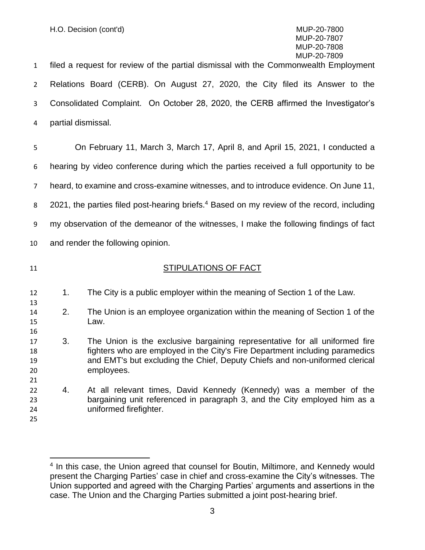filed a request for review of the partial dismissal with the Commonwealth Employment Relations Board (CERB). On August 27, 2020, the City filed its Answer to the Consolidated Complaint. On October 28, 2020, the CERB affirmed the Investigator's partial dismissal.

 On February 11, March 3, March 17, April 8, and April 15, 2021, I conducted a hearing by video conference during which the parties received a full opportunity to be heard, to examine and cross-examine witnesses, and to introduce evidence. On June 11, 8 2021, the parties filed post-hearing briefs.<sup>4</sup> Based on my review of the record, including my observation of the demeanor of the witnesses, I make the following findings of fact and render the following opinion.

### 11 STIPULATIONS OF FACT

- 1. The City is a public employer within the meaning of Section 1 of the Law.
- 2. The Union is an employee organization within the meaning of Section 1 of the Law.
- 3. The Union is the exclusive bargaining representative for all uniformed fire fighters who are employed in the City's Fire Department including paramedics and EMT's but excluding the Chief, Deputy Chiefs and non-uniformed clerical employees.
- 4. At all relevant times, David Kennedy (Kennedy) was a member of the bargaining unit referenced in paragraph 3, and the City employed him as a uniformed firefighter.
- 

<sup>&</sup>lt;sup>4</sup> In this case, the Union agreed that counsel for Boutin, Miltimore, and Kennedy would present the Charging Parties' case in chief and cross-examine the City's witnesses. The Union supported and agreed with the Charging Parties' arguments and assertions in the case. The Union and the Charging Parties submitted a joint post-hearing brief.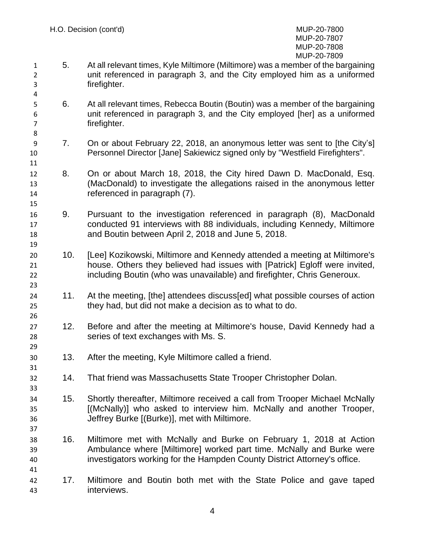- 5. At all relevant times, Kyle Miltimore (Miltimore) was a member of the bargaining unit referenced in paragraph 3, and the City employed him as a uniformed firefighter.
- 6. At all relevant times, Rebecca Boutin (Boutin) was a member of the bargaining unit referenced in paragraph 3, and the City employed [her] as a uniformed firefighter.
- 7. On or about February 22, 2018, an anonymous letter was sent to [the City's] Personnel Director [Jane] Sakiewicz signed only by "Westfield Firefighters".
- 8. On or about March 18, 2018, the City hired Dawn D. MacDonald, Esq. (MacDonald) to investigate the allegations raised in the anonymous letter referenced in paragraph (7).
- 9. Pursuant to the investigation referenced in paragraph (8), MacDonald conducted 91 interviews with 88 individuals, including Kennedy, Miltimore and Boutin between April 2, 2018 and June 5, 2018.
- 10. [Lee] Kozikowski, Miltimore and Kennedy attended a meeting at Miltimore's house. Others they believed had issues with [Patrick] Egloff were invited, including Boutin (who was unavailable) and firefighter, Chris Generoux.
- 11. At the meeting, [the] attendees discuss[ed] what possible courses of action they had, but did not make a decision as to what to do.
- 27 12. Before and after the meeting at Miltimore's house, David Kennedy had a series of text exchanges with Ms. S.
- 13. After the meeting, Kyle Miltimore called a friend.
- 14. That friend was Massachusetts State Trooper Christopher Dolan.
- 15. Shortly thereafter, Miltimore received a call from Trooper Michael McNally [(McNally)] who asked to interview him. McNally and another Trooper, Jeffrey Burke [(Burke)], met with Miltimore.
- 16. Miltimore met with McNally and Burke on February 1, 2018 at Action Ambulance where [Miltimore] worked part time. McNally and Burke were investigators working for the Hampden County District Attorney's office.
- 17. Miltimore and Boutin both met with the State Police and gave taped interviews.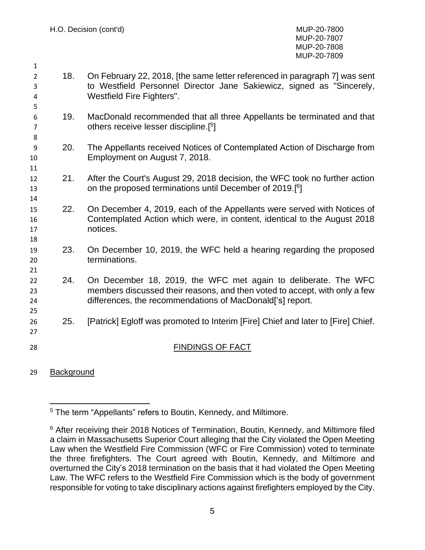- 18. On February 22, 2018, [the same letter referenced in paragraph 7] was sent to Westfield Personnel Director Jane Sakiewicz, signed as "Sincerely, Westfield Fire Fighters".
- 19. MacDonald recommended that all three Appellants be terminated and that 7 others receive lesser discipline.[<sup>5</sup>]
- 20. The Appellants received Notices of Contemplated Action of Discharge from Employment on August 7, 2018.
- 21. After the Court's August 29, 2018 decision, the WFC took no further action 13 **13** On the proposed terminations until December of 2019.<sup>[6</sup>]
- 22. On December 4, 2019, each of the Appellants were served with Notices of Contemplated Action which were, in content, identical to the August 2018 notices.
- 23. On December 10, 2019, the WFC held a hearing regarding the proposed terminations.
- 24. On December 18, 2019, the WFC met again to deliberate. The WFC members discussed their reasons, and then voted to accept, with only a few differences, the recommendations of MacDonald['s] report.
- 25. [Patrick] Egloff was promoted to Interim [Fire] Chief and later to [Fire] Chief.
- 28 FINDINGS OF FACT
- Background

The term "Appellants" refers to Boutin, Kennedy, and Miltimore.

<sup>&</sup>lt;sup>6</sup> After receiving their 2018 Notices of Termination, Boutin, Kennedy, and Miltimore filed a claim in Massachusetts Superior Court alleging that the City violated the Open Meeting Law when the Westfield Fire Commission (WFC or Fire Commission) voted to terminate the three firefighters. The Court agreed with Boutin, Kennedy, and Miltimore and overturned the City's 2018 termination on the basis that it had violated the Open Meeting Law. The WFC refers to the Westfield Fire Commission which is the body of government responsible for voting to take disciplinary actions against firefighters employed by the City.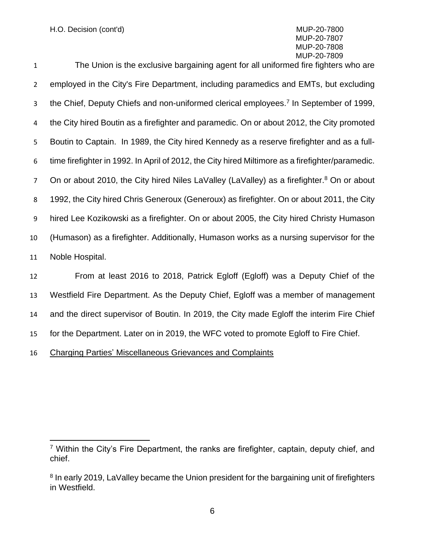The Union is the exclusive bargaining agent for all uniformed fire fighters who are employed in the City's Fire Department, including paramedics and EMTs, but excluding the Chief, Deputy Chiefs and non-uniformed clerical employees.<sup>7</sup> In September of 1999, the City hired Boutin as a firefighter and paramedic. On or about 2012, the City promoted Boutin to Captain. In 1989, the City hired Kennedy as a reserve firefighter and as a full- time firefighter in 1992. In April of 2012, the City hired Miltimore as a firefighter/paramedic. 7 On or about 2010, the City hired Niles LaValley (LaValley) as a firefighter.<sup>8</sup> On or about 1992, the City hired Chris Generoux (Generoux) as firefighter. On or about 2011, the City hired Lee Kozikowski as a firefighter. On or about 2005, the City hired Christy Humason (Humason) as a firefighter. Additionally, Humason works as a nursing supervisor for the Noble Hospital. From at least 2016 to 2018, Patrick Egloff (Egloff) was a Deputy Chief of the

 Westfield Fire Department. As the Deputy Chief, Egloff was a member of management and the direct supervisor of Boutin. In 2019, the City made Egloff the interim Fire Chief for the Department. Later on in 2019, the WFC voted to promote Egloff to Fire Chief.

Charging Parties' Miscellaneous Grievances and Complaints

 Within the City's Fire Department, the ranks are firefighter, captain, deputy chief, and chief.

<sup>&</sup>lt;sup>8</sup> In early 2019, LaValley became the Union president for the bargaining unit of firefighters in Westfield.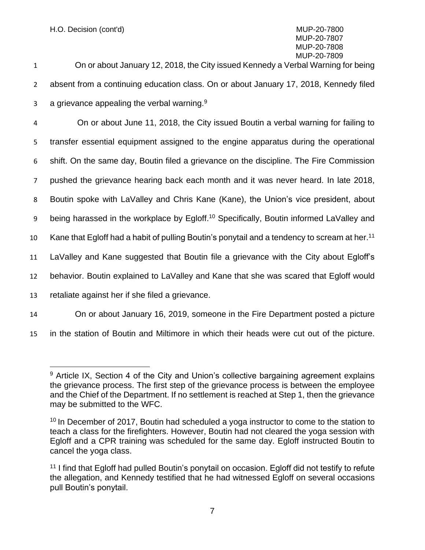1 On or about January 12, 2018, the City issued Kennedy a Verbal Warning for being 2 absent from a continuing education class. On or about January 17, 2018, Kennedy filed 3 a grievance appealing the verbal warning.<sup>9</sup>

 On or about June 11, 2018, the City issued Boutin a verbal warning for failing to transfer essential equipment assigned to the engine apparatus during the operational shift. On the same day, Boutin filed a grievance on the discipline. The Fire Commission pushed the grievance hearing back each month and it was never heard. In late 2018, 8 Boutin spoke with LaValley and Chris Kane (Kane), the Union's vice president, about 9 being harassed in the workplace by Egloff.<sup>10</sup> Specifically, Boutin informed LaValley and 10 Kane that Egloff had a habit of pulling Boutin's ponytail and a tendency to scream at her.<sup>11</sup> LaValley and Kane suggested that Boutin file a grievance with the City about Egloff's behavior. Boutin explained to LaValley and Kane that she was scared that Egloff would retaliate against her if she filed a grievance. On or about January 16, 2019, someone in the Fire Department posted a picture

15 in the station of Boutin and Miltimore in which their heads were cut out of the picture.

<sup>&</sup>lt;sup>9</sup> Article IX, Section 4 of the City and Union's collective bargaining agreement explains the grievance process. The first step of the grievance process is between the employee and the Chief of the Department. If no settlement is reached at Step 1, then the grievance may be submitted to the WFC.

<sup>&</sup>lt;sup>10</sup> In December of 2017, Boutin had scheduled a yoga instructor to come to the station to teach a class for the firefighters. However, Boutin had not cleared the yoga session with Egloff and a CPR training was scheduled for the same day. Egloff instructed Boutin to cancel the yoga class.

<sup>&</sup>lt;sup>11</sup> I find that Egloff had pulled Boutin's ponytail on occasion. Egloff did not testify to refute the allegation, and Kennedy testified that he had witnessed Egloff on several occasions pull Boutin's ponytail.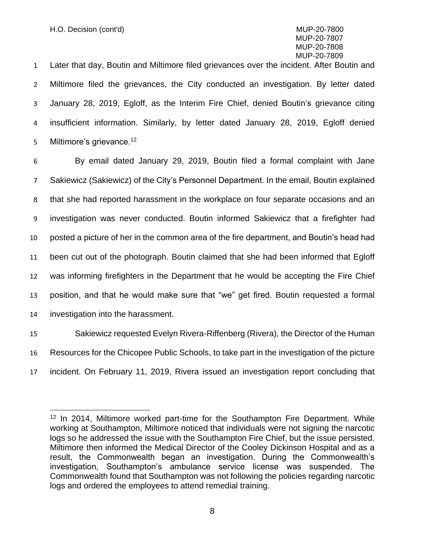Later that day, Boutin and Miltimore filed grievances over the incident. After Boutin and Miltimore filed the grievances, the City conducted an investigation. By letter dated January 28, 2019, Egloff, as the Interim Fire Chief, denied Boutin's grievance citing insufficient information. Similarly, by letter dated January 28, 2019, Egloff denied 5 Miltimore's grievance.<sup>12</sup>

 By email dated January 29, 2019, Boutin filed a formal complaint with Jane Sakiewicz (Sakiewicz) of the City's Personnel Department. In the email, Boutin explained that she had reported harassment in the workplace on four separate occasions and an investigation was never conducted. Boutin informed Sakiewicz that a firefighter had posted a picture of her in the common area of the fire department, and Boutin's head had been cut out of the photograph. Boutin claimed that she had been informed that Egloff was informing firefighters in the Department that he would be accepting the Fire Chief position, and that he would make sure that "we" get fired. Boutin requested a formal investigation into the harassment.

15 Sakiewicz requested Evelyn Rivera-Riffenberg (Rivera), the Director of the Human 16 Resources for the Chicopee Public Schools, to take part in the investigation of the picture 17 incident. On February 11, 2019, Rivera issued an investigation report concluding that

<sup>&</sup>lt;sup>12</sup> In 2014, Miltimore worked part-time for the Southampton Fire Department. While working at Southampton, Miltimore noticed that individuals were not signing the narcotic logs so he addressed the issue with the Southampton Fire Chief, but the issue persisted. Miltimore then informed the Medical Director of the Cooley Dickinson Hospital and as a result, the Commonwealth began an investigation. During the Commonwealth's investigation, Southampton's ambulance service license was suspended. The Commonwealth found that Southampton was not following the policies regarding narcotic logs and ordered the employees to attend remedial training.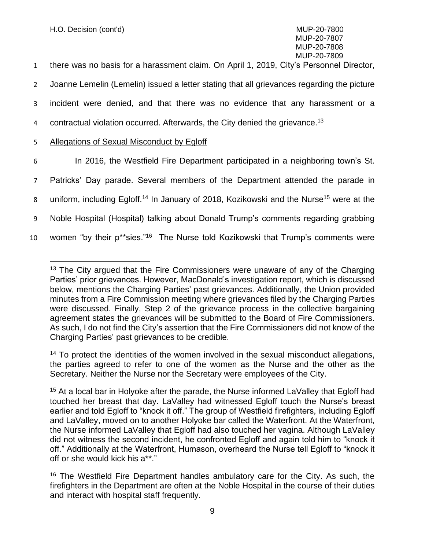1 there was no basis for a harassment claim. On April 1, 2019, City's Personnel Director,

2 Joanne Lemelin (Lemelin) issued a letter stating that all grievances regarding the picture

3 incident were denied, and that there was no evidence that any harassment or a

4 contractual violation occurred. Afterwards, the City denied the grievance.<sup>13</sup>

#### 5 Allegations of Sexual Misconduct by Egloff

 In 2016, the Westfield Fire Department participated in a neighboring town's St. Patricks' Day parade. Several members of the Department attended the parade in 8 uniform, including Egloff.<sup>14</sup> In January of 2018, Kozikowski and the Nurse<sup>15</sup> were at the Noble Hospital (Hospital) talking about Donald Trump's comments regarding grabbing

10 women "by their p\*\*sies."<sup>16</sup> The Nurse told Kozikowski that Trump's comments were

<sup>14</sup> To protect the identities of the women involved in the sexual misconduct allegations, the parties agreed to refer to one of the women as the Nurse and the other as the Secretary. Neither the Nurse nor the Secretary were employees of the City.

 $13$  The City argued that the Fire Commissioners were unaware of any of the Charging Parties' prior grievances. However, MacDonald's investigation report, which is discussed below, mentions the Charging Parties' past grievances. Additionally, the Union provided minutes from a Fire Commission meeting where grievances filed by the Charging Parties were discussed. Finally, Step 2 of the grievance process in the collective bargaining agreement states the grievances will be submitted to the Board of Fire Commissioners. As such, I do not find the City's assertion that the Fire Commissioners did not know of the Charging Parties' past grievances to be credible.

<sup>&</sup>lt;sup>15</sup> At a local bar in Holyoke after the parade, the Nurse informed LaValley that Egloff had touched her breast that day. LaValley had witnessed Egloff touch the Nurse's breast earlier and told Egloff to "knock it off." The group of Westfield firefighters, including Egloff and LaValley, moved on to another Holyoke bar called the Waterfront. At the Waterfront, the Nurse informed LaValley that Egloff had also touched her vagina. Although LaValley did not witness the second incident, he confronted Egloff and again told him to "knock it off." Additionally at the Waterfront, Humason, overheard the Nurse tell Egloff to "knock it off or she would kick his a\*\*."

<sup>&</sup>lt;sup>16</sup> The Westfield Fire Department handles ambulatory care for the City. As such, the firefighters in the Department are often at the Noble Hospital in the course of their duties and interact with hospital staff frequently.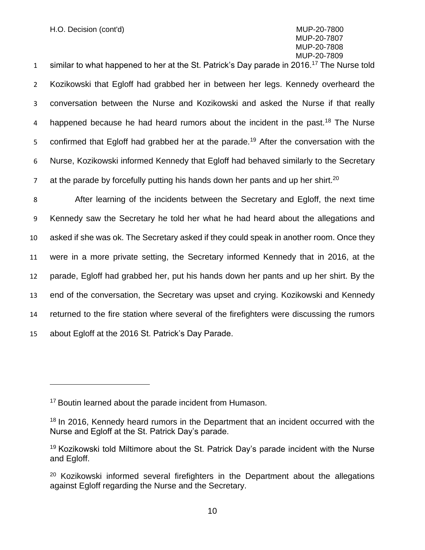1 similar to what happened to her at the St. Patrick's Day parade in 2016.<sup>17</sup> The Nurse told 2 Kozikowski that Egloff had grabbed her in between her legs. Kennedy overheard the 3 conversation between the Nurse and Kozikowski and asked the Nurse if that really 4 happened because he had heard rumors about the incident in the past.<sup>18</sup> The Nurse 5 confirmed that Egloff had grabbed her at the parade.<sup>19</sup> After the conversation with the 6 Nurse, Kozikowski informed Kennedy that Egloff had behaved similarly to the Secretary z at the parade by forcefully putting his hands down her pants and up her shirt.<sup>20</sup>

 After learning of the incidents between the Secretary and Egloff, the next time Kennedy saw the Secretary he told her what he had heard about the allegations and asked if she was ok. The Secretary asked if they could speak in another room. Once they were in a more private setting, the Secretary informed Kennedy that in 2016, at the parade, Egloff had grabbed her, put his hands down her pants and up her shirt. By the end of the conversation, the Secretary was upset and crying. Kozikowski and Kennedy returned to the fire station where several of the firefighters were discussing the rumors about Egloff at the 2016 St. Patrick's Day Parade.

<sup>&</sup>lt;sup>17</sup> Boutin learned about the parade incident from Humason.

<sup>&</sup>lt;sup>18</sup> In 2016, Kennedy heard rumors in the Department that an incident occurred with the Nurse and Egloff at the St. Patrick Day's parade.

<sup>19</sup> Kozikowski told Miltimore about the St. Patrick Day's parade incident with the Nurse and Egloff.

 $20$  Kozikowski informed several firefighters in the Department about the allegations against Egloff regarding the Nurse and the Secretary.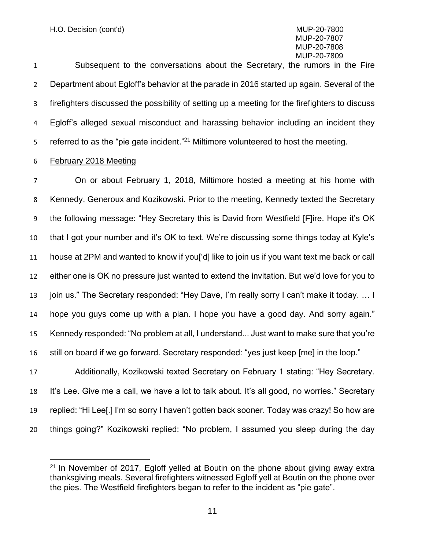H.O. Decision (cont'd) MUP-20-7800

### MUP-20-7807 MUP-20-7808 MUP-20-7809

 Subsequent to the conversations about the Secretary, the rumors in the Fire Department about Egloff's behavior at the parade in 2016 started up again. Several of the firefighters discussed the possibility of setting up a meeting for the firefighters to discuss Egloff's alleged sexual misconduct and harassing behavior including an incident they referred to as the "pie gate incident."<sup>21</sup> Miltimore volunteered to host the meeting.

#### February 2018 Meeting

 On or about February 1, 2018, Miltimore hosted a meeting at his home with Kennedy, Generoux and Kozikowski. Prior to the meeting, Kennedy texted the Secretary the following message: "Hey Secretary this is David from Westfield [F]ire. Hope it's OK that I got your number and it's OK to text. We're discussing some things today at Kyle's house at 2PM and wanted to know if you['d] like to join us if you want text me back or call either one is OK no pressure just wanted to extend the invitation. But we'd love for you to 13 join us." The Secretary responded: "Hey Dave, I'm really sorry I can't make it today. ... I hope you guys come up with a plan. I hope you have a good day. And sorry again." Kennedy responded: "No problem at all, I understand... Just want to make sure that you're still on board if we go forward. Secretary responded: "yes just keep [me] in the loop." Additionally, Kozikowski texted Secretary on February 1 stating: "Hey Secretary.

 It's Lee. Give me a call, we have a lot to talk about. It's all good, no worries." Secretary replied: "Hi Lee[.] I'm so sorry I haven't gotten back sooner. Today was crazy! So how are things going?" Kozikowski replied: "No problem, I assumed you sleep during the day

 In November of 2017, Egloff yelled at Boutin on the phone about giving away extra thanksgiving meals. Several firefighters witnessed Egloff yell at Boutin on the phone over the pies. The Westfield firefighters began to refer to the incident as "pie gate".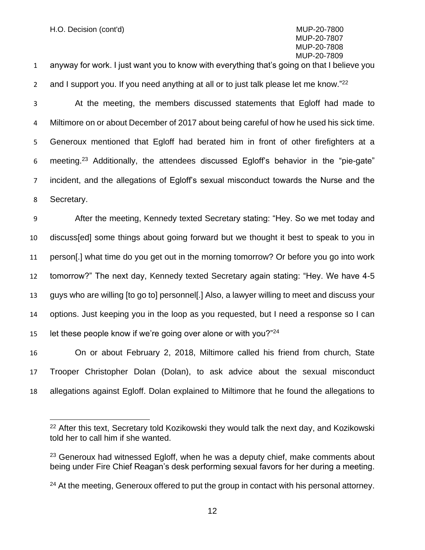anyway for work. I just want you to know with everything that's going on that I believe you

2 and I support you. If you need anything at all or to just talk please let me know."<sup>22</sup>

 At the meeting, the members discussed statements that Egloff had made to Miltimore on or about December of 2017 about being careful of how he used his sick time. Generoux mentioned that Egloff had berated him in front of other firefighters at a 6 meeting.<sup>23</sup> Additionally, the attendees discussed Egloff's behavior in the "pie-gate" incident, and the allegations of Egloff's sexual misconduct towards the Nurse and the Secretary.

 After the meeting, Kennedy texted Secretary stating: "Hey. So we met today and discuss[ed] some things about going forward but we thought it best to speak to you in person[.] what time do you get out in the morning tomorrow? Or before you go into work tomorrow?" The next day, Kennedy texted Secretary again stating: "Hey. We have 4-5 guys who are willing [to go to] personnel[.] Also, a lawyer willing to meet and discuss your options. Just keeping you in the loop as you requested, but I need a response so I can 15 let these people know if we're going over alone or with you?

 On or about February 2, 2018, Miltimore called his friend from church, State Trooper Christopher Dolan (Dolan), to ask advice about the sexual misconduct allegations against Egloff. Dolan explained to Miltimore that he found the allegations to

<sup>&</sup>lt;sup>22</sup> After this text, Secretary told Kozikowski they would talk the next day, and Kozikowski told her to call him if she wanted.

 Generoux had witnessed Egloff, when he was a deputy chief, make comments about being under Fire Chief Reagan's desk performing sexual favors for her during a meeting.

At the meeting, Generoux offered to put the group in contact with his personal attorney.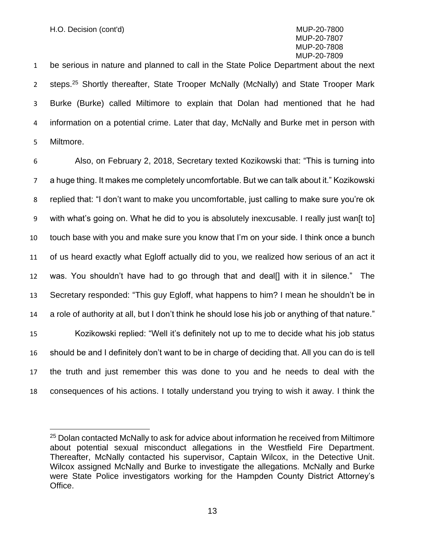be serious in nature and planned to call in the State Police Department about the next 2 steps.<sup>25</sup> Shortly thereafter, State Trooper McNally (McNally) and State Trooper Mark Burke (Burke) called Miltimore to explain that Dolan had mentioned that he had information on a potential crime. Later that day, McNally and Burke met in person with Miltmore.

 Also, on February 2, 2018, Secretary texted Kozikowski that: "This is turning into a huge thing. It makes me completely uncomfortable. But we can talk about it." Kozikowski replied that: "I don't want to make you uncomfortable, just calling to make sure you're ok with what's going on. What he did to you is absolutely inexcusable. I really just wan[t to] touch base with you and make sure you know that I'm on your side. I think once a bunch of us heard exactly what Egloff actually did to you, we realized how serious of an act it was. You shouldn't have had to go through that and deal[] with it in silence." The Secretary responded: "This guy Egloff, what happens to him? I mean he shouldn't be in a role of authority at all, but I don't think he should lose his job or anything of that nature." Kozikowski replied: "Well it's definitely not up to me to decide what his job status should be and I definitely don't want to be in charge of deciding that. All you can do is tell the truth and just remember this was done to you and he needs to deal with the consequences of his actions. I totally understand you trying to wish it away. I think the

<sup>&</sup>lt;sup>25</sup> Dolan contacted McNally to ask for advice about information he received from Miltimore about potential sexual misconduct allegations in the Westfield Fire Department. Thereafter, McNally contacted his supervisor, Captain Wilcox, in the Detective Unit. Wilcox assigned McNally and Burke to investigate the allegations. McNally and Burke were State Police investigators working for the Hampden County District Attorney's Office.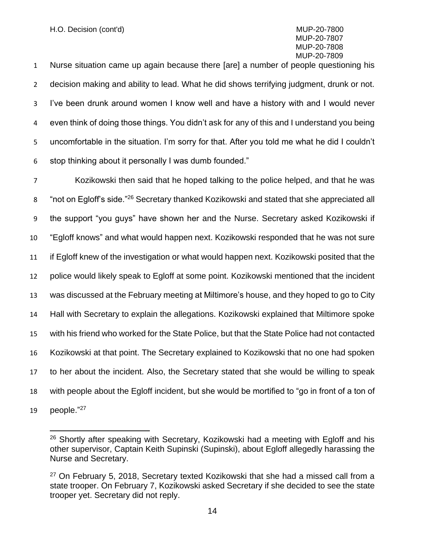Nurse situation came up again because there [are] a number of people questioning his decision making and ability to lead. What he did shows terrifying judgment, drunk or not. I've been drunk around women I know well and have a history with and I would never even think of doing those things. You didn't ask for any of this and I understand you being uncomfortable in the situation. I'm sorry for that. After you told me what he did I couldn't stop thinking about it personally I was dumb founded."

 Kozikowski then said that he hoped talking to the police helped, and that he was 8 "not on Egloff's side."<sup>26</sup> Secretary thanked Kozikowski and stated that she appreciated all the support "you guys" have shown her and the Nurse. Secretary asked Kozikowski if "Egloff knows" and what would happen next. Kozikowski responded that he was not sure if Egloff knew of the investigation or what would happen next. Kozikowski posited that the police would likely speak to Egloff at some point. Kozikowski mentioned that the incident was discussed at the February meeting at Miltimore's house, and they hoped to go to City Hall with Secretary to explain the allegations. Kozikowski explained that Miltimore spoke with his friend who worked for the State Police, but that the State Police had not contacted Kozikowski at that point. The Secretary explained to Kozikowski that no one had spoken to her about the incident. Also, the Secretary stated that she would be willing to speak with people about the Egloff incident, but she would be mortified to "go in front of a ton of 19 people."<sup>27</sup>

<sup>&</sup>lt;sup>26</sup> Shortly after speaking with Secretary, Kozikowski had a meeting with Egloff and his other supervisor, Captain Keith Supinski (Supinski), about Egloff allegedly harassing the Nurse and Secretary.

 On February 5, 2018, Secretary texted Kozikowski that she had a missed call from a state trooper. On February 7, Kozikowski asked Secretary if she decided to see the state trooper yet. Secretary did not reply.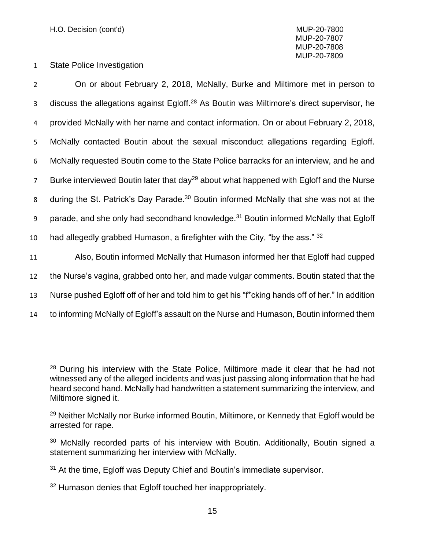#### 1 State Police Investigation

 On or about February 2, 2018, McNally, Burke and Miltimore met in person to discuss the allegations against Egloff.<sup>28</sup> As Boutin was Miltimore's direct supervisor, he provided McNally with her name and contact information. On or about February 2, 2018, McNally contacted Boutin about the sexual misconduct allegations regarding Egloff. McNally requested Boutin come to the State Police barracks for an interview, and he and 7 Burke interviewed Boutin later that day<sup>29</sup> about what happened with Egloff and the Nurse 8 during the St. Patrick's Day Parade.<sup>30</sup> Boutin informed McNally that she was not at the 9 parade, and she only had secondhand knowledge.<sup>31</sup> Boutin informed McNally that Egloff 10 had allegedly grabbed Humason, a firefighter with the City, "by the ass."  $32$  Also, Boutin informed McNally that Humason informed her that Egloff had cupped the Nurse's vagina, grabbed onto her, and made vulgar comments. Boutin stated that the Nurse pushed Egloff off of her and told him to get his "f\*cking hands off of her." In addition to informing McNally of Egloff's assault on the Nurse and Humason, Boutin informed them

<sup>&</sup>lt;sup>28</sup> During his interview with the State Police, Miltimore made it clear that he had not witnessed any of the alleged incidents and was just passing along information that he had heard second hand. McNally had handwritten a statement summarizing the interview, and Miltimore signed it.

<sup>&</sup>lt;sup>29</sup> Neither McNally nor Burke informed Boutin, Miltimore, or Kennedy that Egloff would be arrested for rape.

 $30$  McNally recorded parts of his interview with Boutin. Additionally, Boutin signed a statement summarizing her interview with McNally.

<sup>&</sup>lt;sup>31</sup> At the time, Egloff was Deputy Chief and Boutin's immediate supervisor.

<sup>&</sup>lt;sup>32</sup> Humason denies that Egloff touched her inappropriately.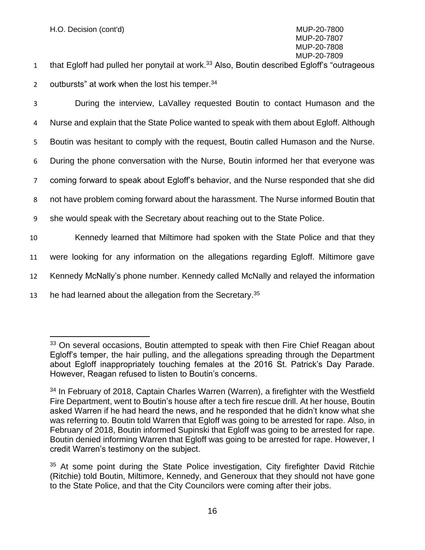- that Egloff had pulled her ponytail at work.<sup>33</sup> Also, Boutin described Egloff's "outrageous" 2 outbursts" at work when the lost his temper.  $34$
- 

3 During the interview, LaValley requested Boutin to contact Humason and the

4 Nurse and explain that the State Police wanted to speak with them about Egloff. Although

5 Boutin was hesitant to comply with the request, Boutin called Humason and the Nurse.

6 During the phone conversation with the Nurse, Boutin informed her that everyone was

7 coming forward to speak about Egloff's behavior, and the Nurse responded that she did

8 not have problem coming forward about the harassment. The Nurse informed Boutin that

- 9 she would speak with the Secretary about reaching out to the State Police.
- 10 Kennedy learned that Miltimore had spoken with the State Police and that they
- 11 were looking for any information on the allegations regarding Egloff. Miltimore gave
- 12 Kennedy McNally's phone number. Kennedy called McNally and relayed the information
- 13 he had learned about the allegation from the Secretary.<sup>35</sup>

<sup>&</sup>lt;sup>33</sup> On several occasions, Boutin attempted to speak with then Fire Chief Reagan about Egloff's temper, the hair pulling, and the allegations spreading through the Department about Egloff inappropriately touching females at the 2016 St. Patrick's Day Parade. However, Reagan refused to listen to Boutin's concerns.

<sup>&</sup>lt;sup>34</sup> In February of 2018, Captain Charles Warren (Warren), a firefighter with the Westfield Fire Department, went to Boutin's house after a tech fire rescue drill. At her house, Boutin asked Warren if he had heard the news, and he responded that he didn't know what she was referring to. Boutin told Warren that Egloff was going to be arrested for rape. Also, in February of 2018, Boutin informed Supinski that Egloff was going to be arrested for rape. Boutin denied informing Warren that Egloff was going to be arrested for rape. However, I credit Warren's testimony on the subject.

 $35$  At some point during the State Police investigation, City firefighter David Ritchie (Ritchie) told Boutin, Miltimore, Kennedy, and Generoux that they should not have gone to the State Police, and that the City Councilors were coming after their jobs.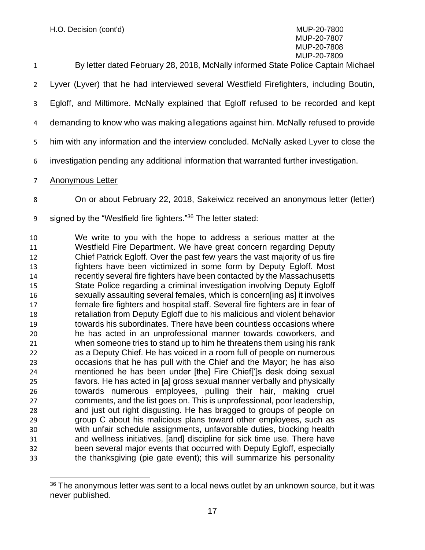## MUP-20-7807 MUP-20-7808

| $\mathbf{1}$   | MUP-20-7809<br>By letter dated February 28, 2018, McNally informed State Police Captain Michael |
|----------------|-------------------------------------------------------------------------------------------------|
| $\overline{2}$ | Lyver (Lyver) that he had interviewed several Westfield Firefighters, including Boutin,         |
| 3              | Egloff, and Miltimore. McNally explained that Egloff refused to be recorded and kept            |
| 4              | demanding to know who was making allegations against him. McNally refused to provide            |
| 5 <sup>1</sup> | him with any information and the interview concluded. McNally asked Lyver to close the          |
| 6              | investigation pending any additional information that warranted further investigation.          |
| $\overline{7}$ | Anonymous Letter                                                                                |

- On or about February 22, 2018, Sakeiwicz received an anonymous letter (letter)
- 9 signed by the "Westfield fire fighters."<sup>36</sup> The letter stated:

 We write to you with the hope to address a serious matter at the Westfield Fire Department. We have great concern regarding Deputy Chief Patrick Egloff. Over the past few years the vast majority of us fire fighters have been victimized in some form by Deputy Egloff. Most recently several fire fighters have been contacted by the Massachusetts State Police regarding a criminal investigation involving Deputy Egloff sexually assaulting several females, which is concern[ing as] it involves female fire fighters and hospital staff. Several fire fighters are in fear of retaliation from Deputy Egloff due to his malicious and violent behavior towards his subordinates. There have been countless occasions where he has acted in an unprofessional manner towards coworkers, and when someone tries to stand up to him he threatens them using his rank as a Deputy Chief. He has voiced in a room full of people on numerous occasions that he has pull with the Chief and the Mayor; he has also mentioned he has been under [the] Fire Chief[']s desk doing sexual favors. He has acted in [a] gross sexual manner verbally and physically towards numerous employees, pulling their hair, making cruel comments, and the list goes on. This is unprofessional, poor leadership, and just out right disgusting. He has bragged to groups of people on group C about his malicious plans toward other employees, such as with unfair schedule assignments, unfavorable duties, blocking health and wellness initiatives, [and] discipline for sick time use. There have been several major events that occurred with Deputy Egloff, especially the thanksgiving (pie gate event); this will summarize his personality

 The anonymous letter was sent to a local news outlet by an unknown source, but it was never published.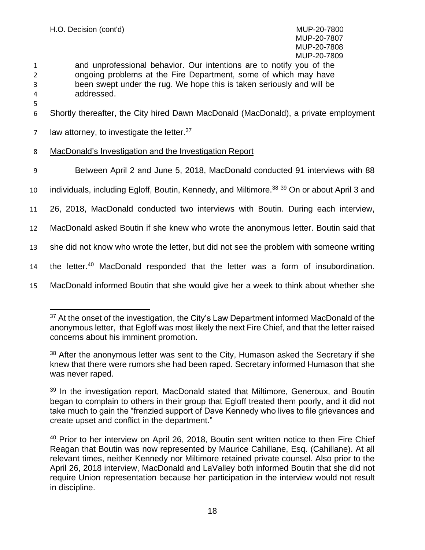MUP-20-7807 MUP-20-7808 MUP-20-7809

- 1 and unprofessional behavior. Our intentions are to notify you of the 2 ongoing problems at the Fire Department, some of which may have 3 been swept under the rug. We hope this is taken seriously and will be 4 addressed.
- 6 Shortly thereafter, the City hired Dawn MacDonald (MacDonald), a private employment
- 7 law attorney, to investigate the letter.  $37$
- 8 MacDonald's Investigation and the Investigation Report
- 9 Between April 2 and June 5, 2018, MacDonald conducted 91 interviews with 88
- 10 individuals, including Egloff, Boutin, Kennedy, and Miltimore.<sup>38 39</sup> On or about April 3 and
- 11 26, 2018, MacDonald conducted two interviews with Boutin. During each interview,
- 12 MacDonald asked Boutin if she knew who wrote the anonymous letter. Boutin said that
- 13 she did not know who wrote the letter, but did not see the problem with someone writing
- 14 the letter.<sup>40</sup> MacDonald responded that the letter was a form of insubordination.
- 15 MacDonald informed Boutin that she would give her a week to think about whether she

<sup>&</sup>lt;sup>37</sup> At the onset of the investigation, the City's Law Department informed MacDonald of the anonymous letter, that Egloff was most likely the next Fire Chief, and that the letter raised concerns about his imminent promotion.

<sup>&</sup>lt;sup>38</sup> After the anonymous letter was sent to the City, Humason asked the Secretary if she knew that there were rumors she had been raped. Secretary informed Humason that she was never raped.

<sup>&</sup>lt;sup>39</sup> In the investigation report, MacDonald stated that Miltimore, Generoux, and Boutin began to complain to others in their group that Egloff treated them poorly, and it did not take much to gain the "frenzied support of Dave Kennedy who lives to file grievances and create upset and conflict in the department."

<sup>&</sup>lt;sup>40</sup> Prior to her interview on April 26, 2018, Boutin sent written notice to then Fire Chief Reagan that Boutin was now represented by Maurice Cahillane, Esq. (Cahillane). At all relevant times, neither Kennedy nor Miltimore retained private counsel. Also prior to the April 26, 2018 interview, MacDonald and LaValley both informed Boutin that she did not require Union representation because her participation in the interview would not result in discipline.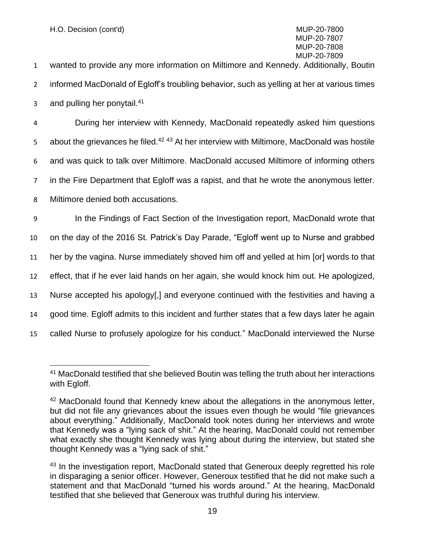1 wanted to provide any more information on Miltimore and Kennedy. Additionally, Boutin 2 informed MacDonald of Egloff's troubling behavior, such as yelling at her at various times 3 and pulling her ponytail. $41$ 

 During her interview with Kennedy, MacDonald repeatedly asked him questions 5 about the grievances he filed.<sup>42 43</sup> At her interview with Miltimore, MacDonald was hostile and was quick to talk over Miltimore. MacDonald accused Miltimore of informing others in the Fire Department that Egloff was a rapist, and that he wrote the anonymous letter.

8 Miltimore denied both accusations.

 In the Findings of Fact Section of the Investigation report, MacDonald wrote that on the day of the 2016 St. Patrick's Day Parade, "Egloff went up to Nurse and grabbed her by the vagina. Nurse immediately shoved him off and yelled at him [or] words to that effect, that if he ever laid hands on her again, she would knock him out. He apologized, Nurse accepted his apology[,] and everyone continued with the festivities and having a good time. Egloff admits to this incident and further states that a few days later he again called Nurse to profusely apologize for his conduct." MacDonald interviewed the Nurse

<sup>&</sup>lt;sup>41</sup> MacDonald testified that she believed Boutin was telling the truth about her interactions with Egloff.

<sup>&</sup>lt;sup>42</sup> MacDonald found that Kennedy knew about the allegations in the anonymous letter, but did not file any grievances about the issues even though he would "file grievances about everything." Additionally, MacDonald took notes during her interviews and wrote that Kennedy was a "lying sack of shit." At the hearing, MacDonald could not remember what exactly she thought Kennedy was lying about during the interview, but stated she thought Kennedy was a "lying sack of shit."

<sup>&</sup>lt;sup>43</sup> In the investigation report, MacDonald stated that Generoux deeply regretted his role in disparaging a senior officer. However, Generoux testified that he did not make such a statement and that MacDonald "turned his words around." At the hearing, MacDonald testified that she believed that Generoux was truthful during his interview.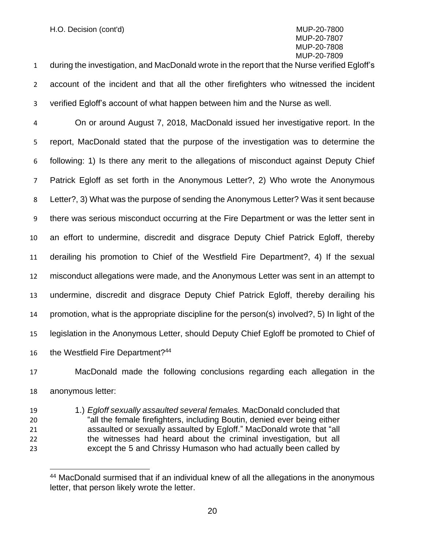during the investigation, and MacDonald wrote in the report that the Nurse verified Egloff's account of the incident and that all the other firefighters who witnessed the incident verified Egloff's account of what happen between him and the Nurse as well.

 On or around August 7, 2018, MacDonald issued her investigative report. In the report, MacDonald stated that the purpose of the investigation was to determine the following: 1) Is there any merit to the allegations of misconduct against Deputy Chief Patrick Egloff as set forth in the Anonymous Letter?, 2) Who wrote the Anonymous Letter?, 3) What was the purpose of sending the Anonymous Letter? Was it sent because there was serious misconduct occurring at the Fire Department or was the letter sent in an effort to undermine, discredit and disgrace Deputy Chief Patrick Egloff, thereby derailing his promotion to Chief of the Westfield Fire Department?, 4) If the sexual misconduct allegations were made, and the Anonymous Letter was sent in an attempt to undermine, discredit and disgrace Deputy Chief Patrick Egloff, thereby derailing his promotion, what is the appropriate discipline for the person(s) involved?, 5) In light of the legislation in the Anonymous Letter, should Deputy Chief Egloff be promoted to Chief of 16 the Westfield Fire Department?<sup>44</sup>

 MacDonald made the following conclusions regarding each allegation in the anonymous letter:

 1.) *Egloff sexually assaulted several females.* MacDonald concluded that "all the female firefighters, including Boutin, denied ever being either assaulted or sexually assaulted by Egloff." MacDonald wrote that "all the witnesses had heard about the criminal investigation, but all except the 5 and Chrissy Humason who had actually been called by

<sup>&</sup>lt;sup>44</sup> MacDonald surmised that if an individual knew of all the allegations in the anonymous letter, that person likely wrote the letter.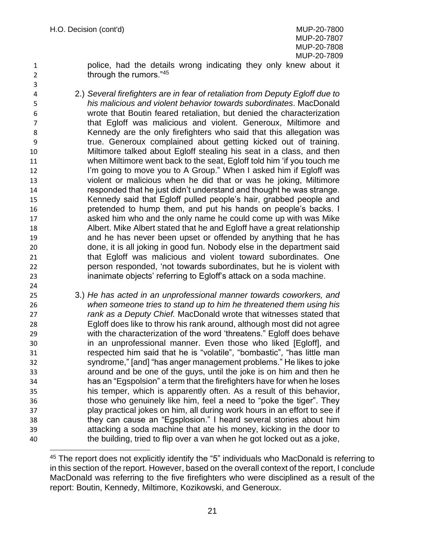police, had the details wrong indicating they only knew about it 2 **through the rumors.**"<sup>45</sup>

- 2.) *Several firefighters are in fear of retaliation from Deputy Egloff due to his malicious and violent behavior towards subordinates*. MacDonald wrote that Boutin feared retaliation, but denied the characterization that Egloff was malicious and violent. Generoux, Miltimore and Kennedy are the only firefighters who said that this allegation was true. Generoux complained about getting kicked out of training. Miltimore talked about Egloff stealing his seat in a class, and then when Miltimore went back to the seat, Egloff told him 'if you touch me 12 I'm going to move you to A Group." When I asked him if Egloff was violent or malicious when he did that or was he joking, Miltimore responded that he just didn't understand and thought he was strange. Kennedy said that Egloff pulled people's hair, grabbed people and pretended to hump them, and put his hands on people's backs. I asked him who and the only name he could come up with was Mike Albert. Mike Albert stated that he and Egloff have a great relationship and he has never been upset or offended by anything that he has done, it is all joking in good fun. Nobody else in the department said that Egloff was malicious and violent toward subordinates. One person responded, 'not towards subordinates, but he is violent with inanimate objects' referring to Egloff's attack on a soda machine.
- 3.) *He has acted in an unprofessional manner towards coworkers, and when someone tries to stand up to him he threatened them using his rank as a Deputy Chief.* MacDonald wrote that witnesses stated that Egloff does like to throw his rank around, although most did not agree with the characterization of the word 'threatens." Egloff does behave in an unprofessional manner. Even those who liked [Egloff], and respected him said that he is "volatile", "bombastic", "has little man syndrome," [and] "has anger management problems." He likes to joke around and be one of the guys, until the joke is on him and then he has an "Egspolsion" a term that the firefighters have for when he loses his temper, which is apparently often. As a result of this behavior, those who genuinely like him, feel a need to "poke the tiger". They play practical jokes on him, all during work hours in an effort to see if they can cause an "Egsplosion." I heard several stories about him attacking a soda machine that ate his money, kicking in the door to the building, tried to flip over a van when he got locked out as a joke,

<sup>&</sup>lt;sup>45</sup> The report does not explicitly identify the "5" individuals who MacDonald is referring to in this section of the report. However, based on the overall context of the report, I conclude MacDonald was referring to the five firefighters who were disciplined as a result of the report: Boutin, Kennedy, Miltimore, Kozikowski, and Generoux.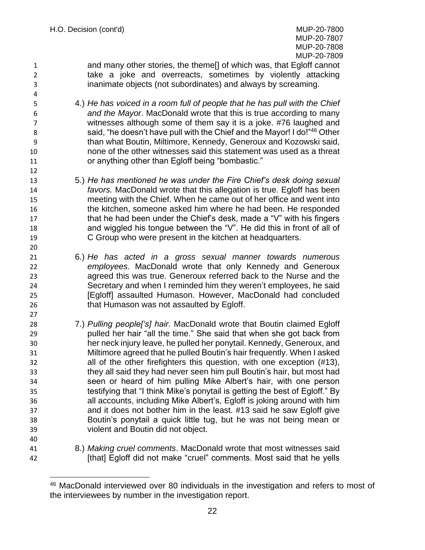and many other stories, the theme[] of which was, that Egloff cannot take a joke and overreacts, sometimes by violently attacking inanimate objects (not subordinates) and always by screaming.

- 4.) *He has voiced in a room full of people that he has pull with the Chief and the Mayor*. MacDonald wrote that this is true according to many witnesses although some of them say it is a joke. #76 laughed and 8 said, "he doesn't have pull with the Chief and the Mayor! I do!"<sup>46</sup> Other than what Boutin, Miltimore, Kennedy, Generoux and Kozowski said, none of the other witnesses said this statement was used as a threat or anything other than Egloff being "bombastic."
- 5.) *He has mentioned he was under the Fire Chief's desk doing sexual favors.* MacDonald wrote that this allegation is true. Egloff has been meeting with the Chief. When he came out of her office and went into the kitchen, someone asked him where he had been. He responded **that he had been under the Chief's desk, made a "V" with his fingers**  and wiggled his tongue between the "V". He did this in front of all of C Group who were present in the kitchen at headquarters.
- 6.) *He has acted in a gross sexual manner towards numerous employees*. MacDonald wrote that only Kennedy and Generoux agreed this was true. Generoux referred back to the Nurse and the Secretary and when I reminded him they weren't employees, he said [Egloff] assaulted Humason. However, MacDonald had concluded that Humason was not assaulted by Egloff.
- 7.) *Pulling people['s] hair*. MacDonald wrote that Boutin claimed Egloff pulled her hair "all the time." She said that when she got back from her neck injury leave, he pulled her ponytail. Kennedy, Generoux, and Miltimore agreed that he pulled Boutin's hair frequently. When I asked all of the other firefighters this question, with one exception (#13), they all said they had never seen him pull Boutin's hair, but most had seen or heard of him pulling Mike Albert's hair, with one person testifying that "I think Mike's ponytail is getting the best of Egloff." By all accounts, including Mike Albert's, Egloff is joking around with him and it does not bother him in the least. #13 said he saw Egloff give Boutin's ponytail a quick little tug, but he was not being mean or violent and Boutin did not object.
- 

 8.) *Making cruel comments*. MacDonald wrote that most witnesses said [that] Egloff did not make "cruel" comments. Most said that he yells

 MacDonald interviewed over 80 individuals in the investigation and refers to most of the interviewees by number in the investigation report.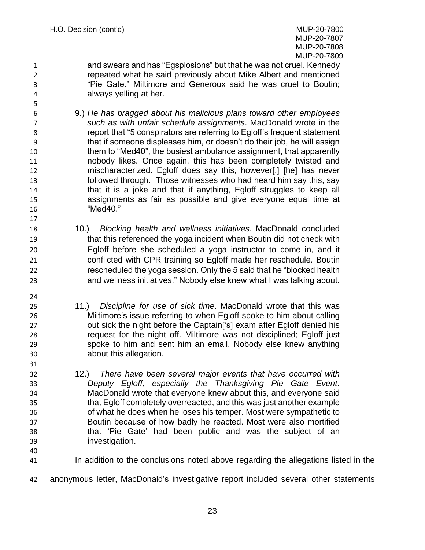and swears and has "Egsplosions" but that he was not cruel. Kennedy repeated what he said previously about Mike Albert and mentioned "Pie Gate." Miltimore and Generoux said he was cruel to Boutin; always yelling at her.

- 9.) *He has bragged about his malicious plans toward other employees such as with unfair schedule assignments*. MacDonald wrote in the report that "5 conspirators are referring to Egloff's frequent statement that if someone displeases him, or doesn't do their job, he will assign them to "Med40", the busiest ambulance assignment, that apparently nobody likes. Once again, this has been completely twisted and mischaracterized. Egloff does say this, however[,] [he] has never followed through. Those witnesses who had heard him say this, say that it is a joke and that if anything, Egloff struggles to keep all assignments as fair as possible and give everyone equal time at "Med40."
- 10.) *Blocking health and wellness initiatives*. MacDonald concluded that this referenced the yoga incident when Boutin did not check with Egloff before she scheduled a yoga instructor to come in, and it conflicted with CPR training so Egloff made her reschedule. Boutin rescheduled the yoga session. Only the 5 said that he "blocked health and wellness initiatives." Nobody else knew what I was talking about.
- 11.) *Discipline for use of sick time*. MacDonald wrote that this was Miltimore's issue referring to when Egloff spoke to him about calling out sick the night before the Captain['s] exam after Egloff denied his request for the night off. Miltimore was not disciplined; Egloff just spoke to him and sent him an email. Nobody else knew anything about this allegation.
- 12.) *There have been several major events that have occurred with Deputy Egloff, especially the Thanksgiving Pie Gate Event*. MacDonald wrote that everyone knew about this, and everyone said that Egloff completely overreacted, and this was just another example of what he does when he loses his temper. Most were sympathetic to Boutin because of how badly he reacted. Most were also mortified that 'Pie Gate' had been public and was the subject of an investigation.
- 

- In addition to the conclusions noted above regarding the allegations listed in the
- anonymous letter, MacDonald's investigative report included several other statements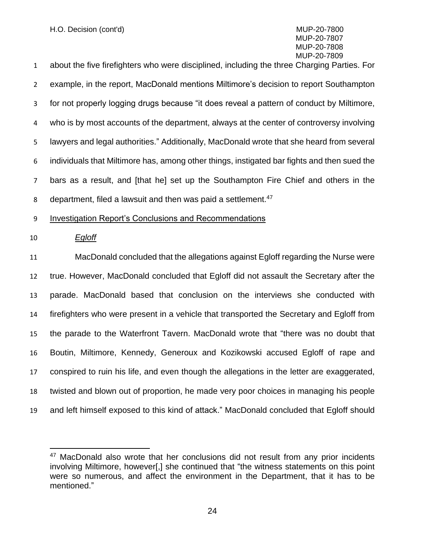about the five firefighters who were disciplined, including the three Charging Parties. For example, in the report, MacDonald mentions Miltimore's decision to report Southampton for not properly logging drugs because "it does reveal a pattern of conduct by Miltimore, who is by most accounts of the department, always at the center of controversy involving lawyers and legal authorities." Additionally, MacDonald wrote that she heard from several individuals that Miltimore has, among other things, instigated bar fights and then sued the bars as a result, and [that he] set up the Southampton Fire Chief and others in the 8 department, filed a lawsuit and then was paid a settlement.<sup>47</sup>

Investigation Report's Conclusions and Recommendations

#### *Egloff*

 MacDonald concluded that the allegations against Egloff regarding the Nurse were true. However, MacDonald concluded that Egloff did not assault the Secretary after the parade. MacDonald based that conclusion on the interviews she conducted with firefighters who were present in a vehicle that transported the Secretary and Egloff from the parade to the Waterfront Tavern. MacDonald wrote that "there was no doubt that Boutin, Miltimore, Kennedy, Generoux and Kozikowski accused Egloff of rape and conspired to ruin his life, and even though the allegations in the letter are exaggerated, twisted and blown out of proportion, he made very poor choices in managing his people and left himself exposed to this kind of attack." MacDonald concluded that Egloff should

<sup>&</sup>lt;sup>47</sup> MacDonald also wrote that her conclusions did not result from any prior incidents involving Miltimore, however[,] she continued that "the witness statements on this point were so numerous, and affect the environment in the Department, that it has to be mentioned."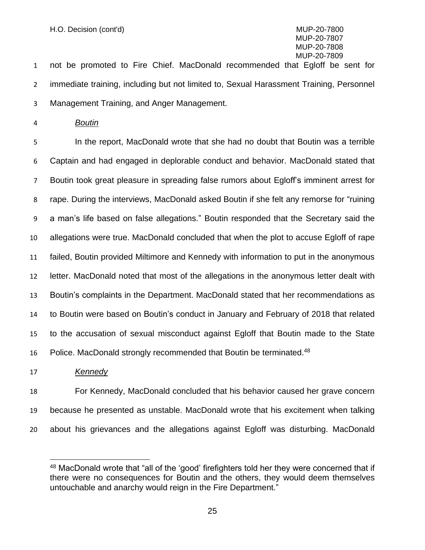not be promoted to Fire Chief. MacDonald recommended that Egloff be sent for immediate training, including but not limited to, Sexual Harassment Training, Personnel Management Training, and Anger Management.

*Boutin*

 In the report, MacDonald wrote that she had no doubt that Boutin was a terrible Captain and had engaged in deplorable conduct and behavior. MacDonald stated that Boutin took great pleasure in spreading false rumors about Egloff's imminent arrest for rape. During the interviews, MacDonald asked Boutin if she felt any remorse for "ruining a man's life based on false allegations." Boutin responded that the Secretary said the allegations were true. MacDonald concluded that when the plot to accuse Egloff of rape failed, Boutin provided Miltimore and Kennedy with information to put in the anonymous letter. MacDonald noted that most of the allegations in the anonymous letter dealt with Boutin's complaints in the Department. MacDonald stated that her recommendations as to Boutin were based on Boutin's conduct in January and February of 2018 that related to the accusation of sexual misconduct against Egloff that Boutin made to the State 16 Police. MacDonald strongly recommended that Boutin be terminated.<sup>48</sup>

*Kennedy*

 For Kennedy, MacDonald concluded that his behavior caused her grave concern because he presented as unstable. MacDonald wrote that his excitement when talking about his grievances and the allegations against Egloff was disturbing. MacDonald

 MacDonald wrote that "all of the 'good' firefighters told her they were concerned that if there were no consequences for Boutin and the others, they would deem themselves untouchable and anarchy would reign in the Fire Department."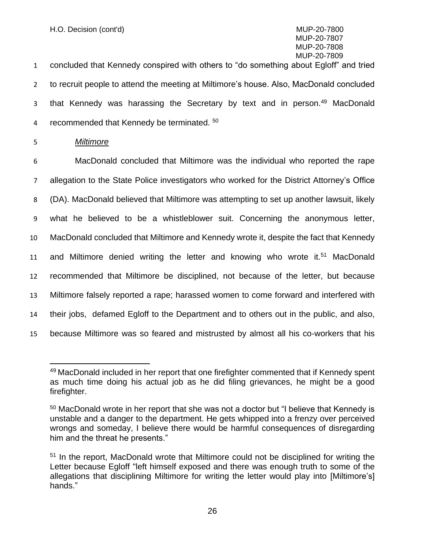1 concluded that Kennedy conspired with others to "do something about Egloff" and tried 2 to recruit people to attend the meeting at Miltimore's house. Also, MacDonald concluded 3 that Kennedy was harassing the Secretary by text and in person.<sup>49</sup> MacDonald 4 recommended that Kennedy be terminated.  $50$ 

5 *Miltimore*

 MacDonald concluded that Miltimore was the individual who reported the rape allegation to the State Police investigators who worked for the District Attorney's Office (DA). MacDonald believed that Miltimore was attempting to set up another lawsuit, likely what he believed to be a whistleblower suit. Concerning the anonymous letter, MacDonald concluded that Miltimore and Kennedy wrote it, despite the fact that Kennedy 11 and Miltimore denied writing the letter and knowing who wrote it.<sup>51</sup> MacDonald recommended that Miltimore be disciplined, not because of the letter, but because Miltimore falsely reported a rape; harassed women to come forward and interfered with their jobs, defamed Egloff to the Department and to others out in the public, and also, because Miltimore was so feared and mistrusted by almost all his co-workers that his

<sup>&</sup>lt;sup>49</sup> MacDonald included in her report that one firefighter commented that if Kennedy spent as much time doing his actual job as he did filing grievances, he might be a good firefighter.

<sup>&</sup>lt;sup>50</sup> MacDonald wrote in her report that she was not a doctor but "I believe that Kennedy is unstable and a danger to the department. He gets whipped into a frenzy over perceived wrongs and someday, I believe there would be harmful consequences of disregarding him and the threat he presents."

<sup>&</sup>lt;sup>51</sup> In the report, MacDonald wrote that Miltimore could not be disciplined for writing the Letter because Egloff "left himself exposed and there was enough truth to some of the allegations that disciplining Miltimore for writing the letter would play into [Miltimore's] hands."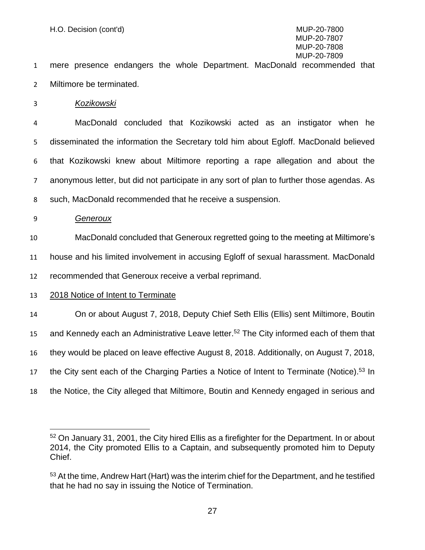mere presence endangers the whole Department. MacDonald recommended that Miltimore be terminated.

*Kozikowski*

 MacDonald concluded that Kozikowski acted as an instigator when he disseminated the information the Secretary told him about Egloff. MacDonald believed that Kozikowski knew about Miltimore reporting a rape allegation and about the anonymous letter, but did not participate in any sort of plan to further those agendas. As such, MacDonald recommended that he receive a suspension.

*Generoux*

 MacDonald concluded that Generoux regretted going to the meeting at Miltimore's house and his limited involvement in accusing Egloff of sexual harassment. MacDonald

recommended that Generoux receive a verbal reprimand.

2018 Notice of Intent to Terminate

 On or about August 7, 2018, Deputy Chief Seth Ellis (Ellis) sent Miltimore, Boutin 15 and Kennedy each an Administrative Leave letter.<sup>52</sup> The City informed each of them that they would be placed on leave effective August 8, 2018. Additionally, on August 7, 2018, 17 the City sent each of the Charging Parties a Notice of Intent to Terminate (Notice).<sup>53</sup> In the Notice, the City alleged that Miltimore, Boutin and Kennedy engaged in serious and

<sup>&</sup>lt;sup>52</sup> On January 31, 2001, the City hired Ellis as a firefighter for the Department. In or about 2014, the City promoted Ellis to a Captain, and subsequently promoted him to Deputy Chief.

<sup>&</sup>lt;sup>53</sup> At the time, Andrew Hart (Hart) was the interim chief for the Department, and he testified that he had no say in issuing the Notice of Termination.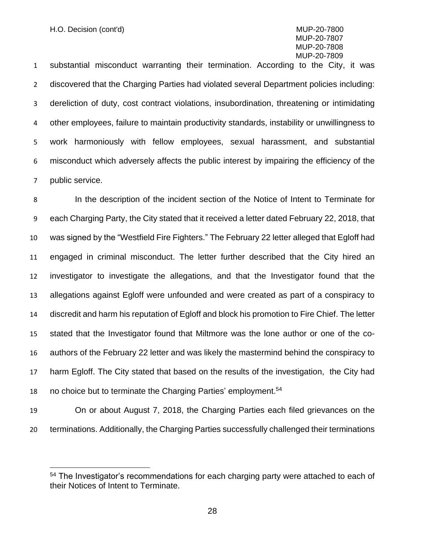substantial misconduct warranting their termination. According to the City, it was discovered that the Charging Parties had violated several Department policies including: dereliction of duty, cost contract violations, insubordination, threatening or intimidating other employees, failure to maintain productivity standards, instability or unwillingness to work harmoniously with fellow employees, sexual harassment, and substantial misconduct which adversely affects the public interest by impairing the efficiency of the public service.

 In the description of the incident section of the Notice of Intent to Terminate for each Charging Party, the City stated that it received a letter dated February 22, 2018, that was signed by the "Westfield Fire Fighters." The February 22 letter alleged that Egloff had engaged in criminal misconduct. The letter further described that the City hired an investigator to investigate the allegations, and that the Investigator found that the allegations against Egloff were unfounded and were created as part of a conspiracy to discredit and harm his reputation of Egloff and block his promotion to Fire Chief. The letter stated that the Investigator found that Miltmore was the lone author or one of the co- authors of the February 22 letter and was likely the mastermind behind the conspiracy to harm Egloff. The City stated that based on the results of the investigation, the City had 18 no choice but to terminate the Charging Parties' employment.<sup>54</sup>

 On or about August 7, 2018, the Charging Parties each filed grievances on the terminations. Additionally, the Charging Parties successfully challenged their terminations

<sup>&</sup>lt;sup>54</sup> The Investigator's recommendations for each charging party were attached to each of their Notices of Intent to Terminate.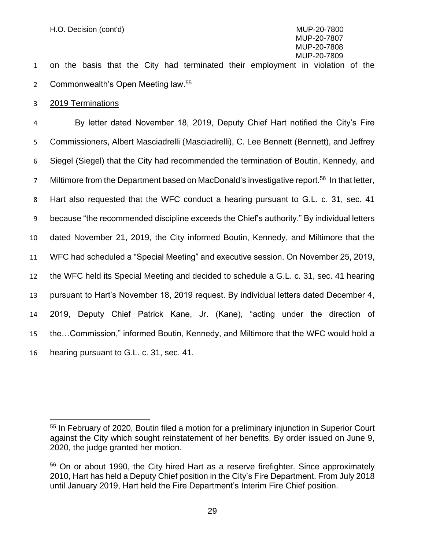on the basis that the City had terminated their employment in violation of the 2 Commonwealth's Open Meeting law.<sup>55</sup>

#### 2019 Terminations

 By letter dated November 18, 2019, Deputy Chief Hart notified the City's Fire Commissioners, Albert Masciadrelli (Masciadrelli), C. Lee Bennett (Bennett), and Jeffrey Siegel (Siegel) that the City had recommended the termination of Boutin, Kennedy, and 7 Miltimore from the Department based on MacDonald's investigative report.<sup>56</sup> In that letter, Hart also requested that the WFC conduct a hearing pursuant to G.L. c. 31, sec. 41 because "the recommended discipline exceeds the Chief's authority." By individual letters dated November 21, 2019, the City informed Boutin, Kennedy, and Miltimore that the WFC had scheduled a "Special Meeting" and executive session. On November 25, 2019, the WFC held its Special Meeting and decided to schedule a G.L. c. 31, sec. 41 hearing pursuant to Hart's November 18, 2019 request. By individual letters dated December 4, 2019, Deputy Chief Patrick Kane, Jr. (Kane), "acting under the direction of the…Commission," informed Boutin, Kennedy, and Miltimore that the WFC would hold a hearing pursuant to G.L. c. 31, sec. 41.

 In February of 2020, Boutin filed a motion for a preliminary injunction in Superior Court against the City which sought reinstatement of her benefits. By order issued on June 9, 2020, the judge granted her motion.

 On or about 1990, the City hired Hart as a reserve firefighter. Since approximately 2010, Hart has held a Deputy Chief position in the City's Fire Department. From July 2018 until January 2019, Hart held the Fire Department's Interim Fire Chief position.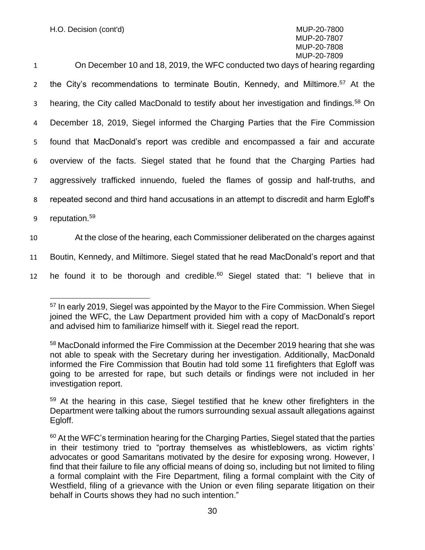| $\mathbf{1}$   | On December 10 and 18, 2019, the WFC conducted two days of hearing regarding                         |
|----------------|------------------------------------------------------------------------------------------------------|
| $\overline{2}$ | the City's recommendations to terminate Boutin, Kennedy, and Miltimore. <sup>57</sup> At the         |
| 3              | hearing, the City called MacDonald to testify about her investigation and findings. <sup>58</sup> On |
| 4              | December 18, 2019, Siegel informed the Charging Parties that the Fire Commission                     |
| 5              | found that MacDonald's report was credible and encompassed a fair and accurate                       |
| 6              | overview of the facts. Siegel stated that he found that the Charging Parties had                     |
| $7^{\circ}$    | aggressively trafficked innuendo, fueled the flames of gossip and half-truths, and                   |
| 8              | repeated second and third hand accusations in an attempt to discredit and harm Egloff's              |
| 9              | reputation. <sup>59</sup>                                                                            |
| 10             | At the close of the hearing, each Commissioner deliberated on the charges against                    |
| 11             | Boutin, Kennedy, and Miltimore. Siegel stated that he read MacDonald's report and that               |
|                |                                                                                                      |

12 he found it to be thorough and credible.<sup>60</sup> Siegel stated that: "I believe that in

<sup>57</sup> In early 2019, Siegel was appointed by the Mayor to the Fire Commission. When Siegel joined the WFC, the Law Department provided him with a copy of MacDonald's report and advised him to familiarize himself with it. Siegel read the report.

<sup>58</sup> MacDonald informed the Fire Commission at the December 2019 hearing that she was not able to speak with the Secretary during her investigation. Additionally, MacDonald informed the Fire Commission that Boutin had told some 11 firefighters that Egloff was going to be arrested for rape, but such details or findings were not included in her investigation report.

<sup>&</sup>lt;sup>59</sup> At the hearing in this case, Siegel testified that he knew other firefighters in the Department were talking about the rumors surrounding sexual assault allegations against Egloff.

 $60$  At the WFC's termination hearing for the Charging Parties, Siegel stated that the parties in their testimony tried to "portray themselves as whistleblowers, as victim rights' advocates or good Samaritans motivated by the desire for exposing wrong. However, I find that their failure to file any official means of doing so, including but not limited to filing a formal complaint with the Fire Department, filing a formal complaint with the City of Westfield, filing of a grievance with the Union or even filing separate litigation on their behalf in Courts shows they had no such intention."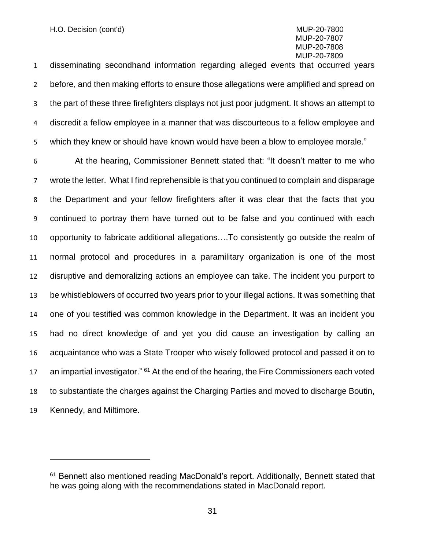disseminating secondhand information regarding alleged events that occurred years before, and then making efforts to ensure those allegations were amplified and spread on the part of these three firefighters displays not just poor judgment. It shows an attempt to discredit a fellow employee in a manner that was discourteous to a fellow employee and which they knew or should have known would have been a blow to employee morale."

 At the hearing, Commissioner Bennett stated that: "It doesn't matter to me who wrote the letter. What I find reprehensible is that you continued to complain and disparage the Department and your fellow firefighters after it was clear that the facts that you continued to portray them have turned out to be false and you continued with each opportunity to fabricate additional allegations….To consistently go outside the realm of normal protocol and procedures in a paramilitary organization is one of the most disruptive and demoralizing actions an employee can take. The incident you purport to be whistleblowers of occurred two years prior to your illegal actions. It was something that one of you testified was common knowledge in the Department. It was an incident you had no direct knowledge of and yet you did cause an investigation by calling an acquaintance who was a State Trooper who wisely followed protocol and passed it on to 17 an impartial investigator." <sup>61</sup> At the end of the hearing, the Fire Commissioners each voted to substantiate the charges against the Charging Parties and moved to discharge Boutin, Kennedy, and Miltimore.

<sup>&</sup>lt;sup>61</sup> Bennett also mentioned reading MacDonald's report. Additionally, Bennett stated that he was going along with the recommendations stated in MacDonald report.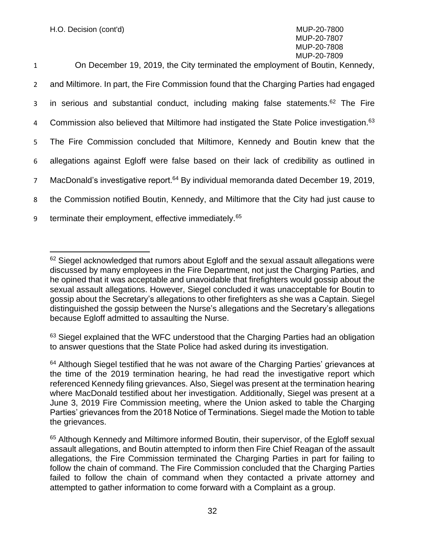| $\mathbf{1}$   | On December 19, 2019, the City terminated the employment of Boutin, Kennedy,                         |
|----------------|------------------------------------------------------------------------------------------------------|
| $2^{\circ}$    | and Miltimore. In part, the Fire Commission found that the Charging Parties had engaged              |
| $\mathbf{3}$   | in serious and substantial conduct, including making false statements. <sup>62</sup> The Fire        |
| 4              | Commission also believed that Miltimore had instigated the State Police investigation. <sup>63</sup> |
| 5              | The Fire Commission concluded that Miltimore, Kennedy and Boutin knew that the                       |
| 6              | allegations against Egloff were false based on their lack of credibility as outlined in              |
| 7 <sup>7</sup> | MacDonald's investigative report. <sup>64</sup> By individual memoranda dated December 19, 2019,     |
| 8              | the Commission notified Boutin, Kennedy, and Miltimore that the City had just cause to               |
| 9              | terminate their employment, effective immediately. <sup>65</sup>                                     |

<sup>63</sup> Siegel explained that the WFC understood that the Charging Parties had an obligation to answer questions that the State Police had asked during its investigation.

<sup>&</sup>lt;sup>62</sup> Siegel acknowledged that rumors about Egloff and the sexual assault allegations were discussed by many employees in the Fire Department, not just the Charging Parties, and he opined that it was acceptable and unavoidable that firefighters would gossip about the sexual assault allegations. However, Siegel concluded it was unacceptable for Boutin to gossip about the Secretary's allegations to other firefighters as she was a Captain. Siegel distinguished the gossip between the Nurse's allegations and the Secretary's allegations because Egloff admitted to assaulting the Nurse.

<sup>&</sup>lt;sup>64</sup> Although Siegel testified that he was not aware of the Charging Parties' grievances at the time of the 2019 termination hearing, he had read the investigative report which referenced Kennedy filing grievances. Also, Siegel was present at the termination hearing where MacDonald testified about her investigation. Additionally, Siegel was present at a June 3, 2019 Fire Commission meeting, where the Union asked to table the Charging Parties' grievances from the 2018 Notice of Terminations. Siegel made the Motion to table the grievances.

<sup>&</sup>lt;sup>65</sup> Although Kennedy and Miltimore informed Boutin, their supervisor, of the Egloff sexual assault allegations, and Boutin attempted to inform then Fire Chief Reagan of the assault allegations, the Fire Commission terminated the Charging Parties in part for failing to follow the chain of command. The Fire Commission concluded that the Charging Parties failed to follow the chain of command when they contacted a private attorney and attempted to gather information to come forward with a Complaint as a group.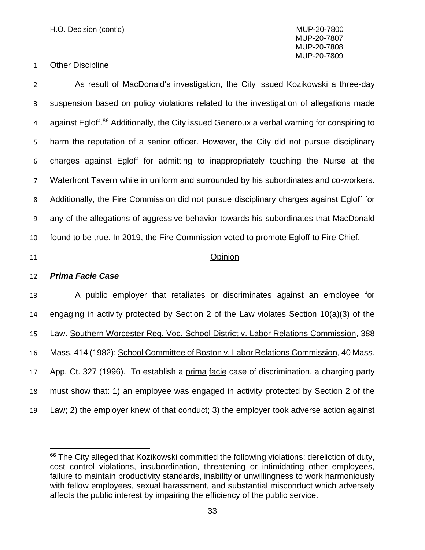#### Other Discipline

 As result of MacDonald's investigation, the City issued Kozikowski a three-day suspension based on policy violations related to the investigation of allegations made 4 against Egloff.<sup>66</sup> Additionally, the City issued Generoux a verbal warning for conspiring to harm the reputation of a senior officer. However, the City did not pursue disciplinary charges against Egloff for admitting to inappropriately touching the Nurse at the Waterfront Tavern while in uniform and surrounded by his subordinates and co-workers. Additionally, the Fire Commission did not pursue disciplinary charges against Egloff for any of the allegations of aggressive behavior towards his subordinates that MacDonald found to be true. In 2019, the Fire Commission voted to promote Egloff to Fire Chief.

#### Opinion

#### *Prima Facie Case*

 A public employer that retaliates or discriminates against an employee for engaging in activity protected by Section 2 of the Law violates Section 10(a)(3) of the Law. Southern Worcester Reg. Voc. School District v. Labor Relations Commission, 388 Mass. 414 (1982); School Committee of Boston v. Labor Relations Commission, 40 Mass. App. Ct. 327 (1996). To establish a prima facie case of discrimination, a charging party must show that: 1) an employee was engaged in activity protected by Section 2 of the Law; 2) the employer knew of that conduct; 3) the employer took adverse action against

<sup>&</sup>lt;sup>66</sup> The City alleged that Kozikowski committed the following violations: dereliction of duty, cost control violations, insubordination, threatening or intimidating other employees, failure to maintain productivity standards, inability or unwillingness to work harmoniously with fellow employees, sexual harassment, and substantial misconduct which adversely affects the public interest by impairing the efficiency of the public service.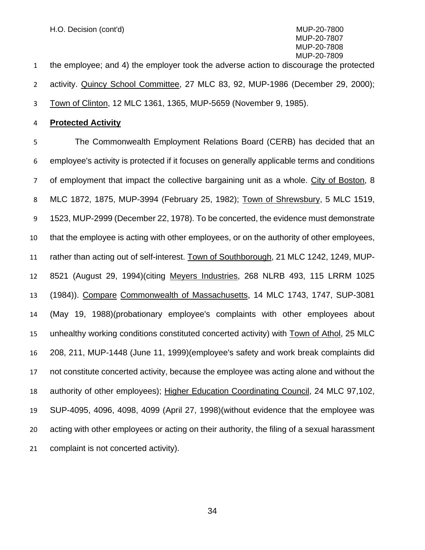the employee; and 4) the employer took the adverse action to discourage the protected activity. Quincy School Committee, 27 MLC 83, 92, MUP-1986 (December 29, 2000); Town of Clinton, 12 MLC 1361, 1365, MUP-5659 (November 9, 1985).

**Protected Activity**

 The Commonwealth Employment Relations Board (CERB) has decided that an employee's activity is protected if it focuses on generally applicable terms and conditions of employment that impact the collective bargaining unit as a whole. City of Boston, 8 MLC 1872, 1875, MUP-3994 (February 25, 1982); Town of Shrewsbury, 5 MLC 1519, 1523, MUP-2999 (December 22, 1978). To be concerted, the evidence must demonstrate that the employee is acting with other employees, or on the authority of other employees, rather than acting out of self-interest. Town of Southborough, 21 MLC 1242, 1249, MUP- 8521 (August 29, 1994)(citing Meyers Industries, 268 NLRB 493, 115 LRRM 1025 (1984)). Compare Commonwealth of Massachusetts, 14 MLC 1743, 1747, SUP-3081 (May 19, 1988)(probationary employee's complaints with other employees about unhealthy working conditions constituted concerted activity) with Town of Athol, 25 MLC 208, 211, MUP-1448 (June 11, 1999)(employee's safety and work break complaints did not constitute concerted activity, because the employee was acting alone and without the authority of other employees); Higher Education Coordinating Council, 24 MLC 97,102, SUP-4095, 4096, 4098, 4099 (April 27, 1998)(without evidence that the employee was acting with other employees or acting on their authority, the filing of a sexual harassment complaint is not concerted activity).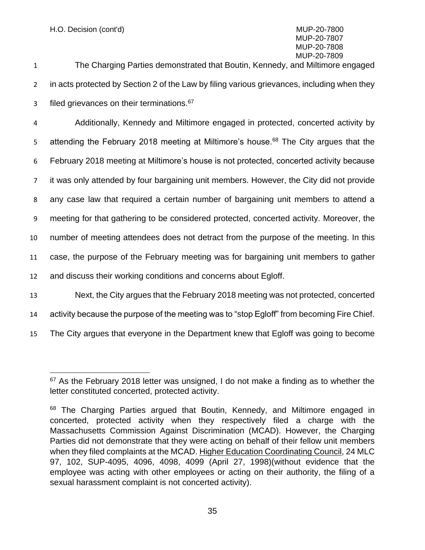H.O. Decision (cont'd) MUP-20-7800

### MUP-20-7807 MUP-20-7808 MUP-20-7809

1 The Charging Parties demonstrated that Boutin, Kennedy, and Miltimore engaged 2 in acts protected by Section 2 of the Law by filing various grievances, including when they s filed grievances on their terminations.<sup>67</sup>

 Additionally, Kennedy and Miltimore engaged in protected, concerted activity by 5 attending the February 2018 meeting at Miltimore's house.<sup>68</sup> The City argues that the February 2018 meeting at Miltimore's house is not protected, concerted activity because it was only attended by four bargaining unit members. However, the City did not provide any case law that required a certain number of bargaining unit members to attend a meeting for that gathering to be considered protected, concerted activity. Moreover, the number of meeting attendees does not detract from the purpose of the meeting. In this case, the purpose of the February meeting was for bargaining unit members to gather and discuss their working conditions and concerns about Egloff. Next, the City argues that the February 2018 meeting was not protected, concerted

- 14 activity because the purpose of the meeting was to "stop Egloff" from becoming Fire Chief.
- 15 The City argues that everyone in the Department knew that Egloff was going to become

<sup>&</sup>lt;sup>67</sup> As the February 2018 letter was unsigned, I do not make a finding as to whether the letter constituted concerted, protected activity.

<sup>&</sup>lt;sup>68</sup> The Charging Parties argued that Boutin, Kennedy, and Miltimore engaged in concerted, protected activity when they respectively filed a charge with the Massachusetts Commission Against Discrimination (MCAD). However, the Charging Parties did not demonstrate that they were acting on behalf of their fellow unit members when they filed complaints at the MCAD. Higher Education Coordinating Council, 24 MLC 97, 102, SUP-4095, 4096, 4098, 4099 (April 27, 1998)(without evidence that the employee was acting with other employees or acting on their authority, the filing of a sexual harassment complaint is not concerted activity).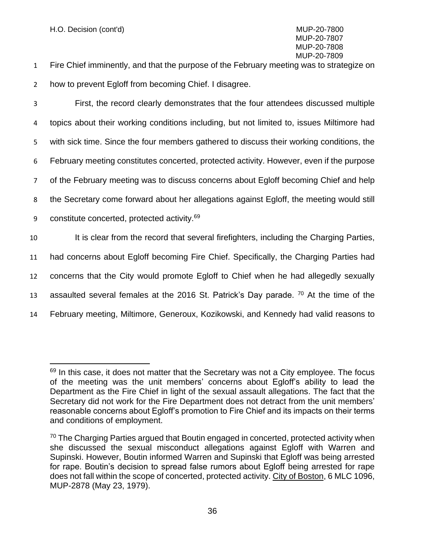1 Fire Chief imminently, and that the purpose of the February meeting was to strategize on 2 how to prevent Egloff from becoming Chief. I disagree.

 First, the record clearly demonstrates that the four attendees discussed multiple topics about their working conditions including, but not limited to, issues Miltimore had with sick time. Since the four members gathered to discuss their working conditions, the February meeting constitutes concerted, protected activity. However, even if the purpose of the February meeting was to discuss concerns about Egloff becoming Chief and help the Secretary come forward about her allegations against Egloff, the meeting would still 9 constitute concerted, protected activity. $69$ 10 It is clear from the record that several firefighters, including the Charging Parties, had concerns about Egloff becoming Fire Chief. Specifically, the Charging Parties had concerns that the City would promote Egloff to Chief when he had allegedly sexually

13 assaulted several females at the 2016 St. Patrick's Day parade. <sup>70</sup> At the time of the

14 February meeting, Miltimore, Generoux, Kozikowski, and Kennedy had valid reasons to

 $69$  In this case, it does not matter that the Secretary was not a City employee. The focus of the meeting was the unit members' concerns about Egloff's ability to lead the Department as the Fire Chief in light of the sexual assault allegations. The fact that the Secretary did not work for the Fire Department does not detract from the unit members' reasonable concerns about Egloff's promotion to Fire Chief and its impacts on their terms and conditions of employment.

<sup>&</sup>lt;sup>70</sup> The Charging Parties argued that Boutin engaged in concerted, protected activity when she discussed the sexual misconduct allegations against Egloff with Warren and Supinski. However, Boutin informed Warren and Supinski that Egloff was being arrested for rape. Boutin's decision to spread false rumors about Egloff being arrested for rape does not fall within the scope of concerted, protected activity. City of Boston, 6 MLC 1096, MUP-2878 (May 23, 1979).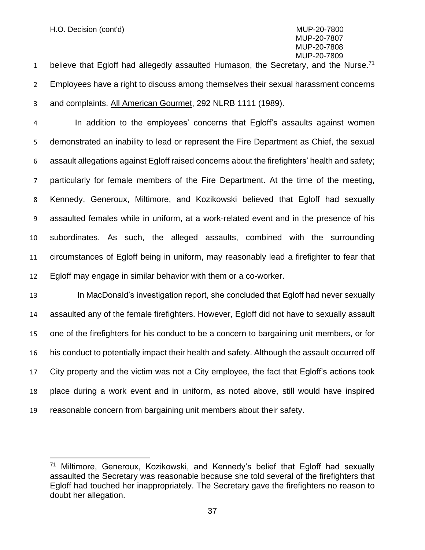1 believe that Egloff had allegedly assaulted Humason, the Secretary, and the Nurse. Employees have a right to discuss among themselves their sexual harassment concerns and complaints. All American Gourmet, 292 NLRB 1111 (1989).

 In addition to the employees' concerns that Egloff's assaults against women demonstrated an inability to lead or represent the Fire Department as Chief, the sexual assault allegations against Egloff raised concerns about the firefighters' health and safety; particularly for female members of the Fire Department. At the time of the meeting, Kennedy, Generoux, Miltimore, and Kozikowski believed that Egloff had sexually assaulted females while in uniform, at a work-related event and in the presence of his subordinates. As such, the alleged assaults, combined with the surrounding circumstances of Egloff being in uniform, may reasonably lead a firefighter to fear that Egloff may engage in similar behavior with them or a co-worker.

 In MacDonald's investigation report, she concluded that Egloff had never sexually assaulted any of the female firefighters. However, Egloff did not have to sexually assault one of the firefighters for his conduct to be a concern to bargaining unit members, or for his conduct to potentially impact their health and safety. Although the assault occurred off City property and the victim was not a City employee, the fact that Egloff's actions took place during a work event and in uniform, as noted above, still would have inspired reasonable concern from bargaining unit members about their safety.

 Miltimore, Generoux, Kozikowski, and Kennedy's belief that Egloff had sexually assaulted the Secretary was reasonable because she told several of the firefighters that Egloff had touched her inappropriately. The Secretary gave the firefighters no reason to doubt her allegation.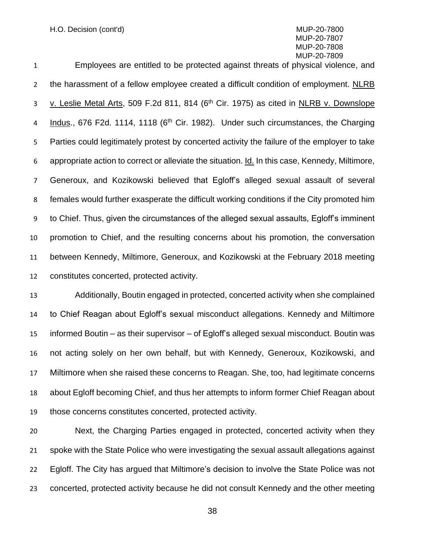H.O. Decision (cont'd) MUP-20-7800

### MUP-20-7807 MUP-20-7808 MUP-20-7809

 Employees are entitled to be protected against threats of physical violence, and the harassment of a fellow employee created a difficult condition of employment. NLRB 3 v. Leslie Metal Arts, 509 F.2d 811, 814 (6<sup>th</sup> Cir. 1975) as cited in NLRB v. Downslope 4 Indus., 676 F2d. 1114, 1118 (6<sup>th</sup> Cir. 1982). Under such circumstances, the Charging Parties could legitimately protest by concerted activity the failure of the employer to take appropriate action to correct or alleviate the situation. Id. In this case, Kennedy, Miltimore, Generoux, and Kozikowski believed that Egloff's alleged sexual assault of several females would further exasperate the difficult working conditions if the City promoted him to Chief. Thus, given the circumstances of the alleged sexual assaults, Egloff's imminent promotion to Chief, and the resulting concerns about his promotion, the conversation between Kennedy, Miltimore, Generoux, and Kozikowski at the February 2018 meeting constitutes concerted, protected activity.

 Additionally, Boutin engaged in protected, concerted activity when she complained to Chief Reagan about Egloff's sexual misconduct allegations. Kennedy and Miltimore informed Boutin – as their supervisor – of Egloff's alleged sexual misconduct. Boutin was not acting solely on her own behalf, but with Kennedy, Generoux, Kozikowski, and Miltimore when she raised these concerns to Reagan. She, too, had legitimate concerns about Egloff becoming Chief, and thus her attempts to inform former Chief Reagan about those concerns constitutes concerted, protected activity.

 Next, the Charging Parties engaged in protected, concerted activity when they spoke with the State Police who were investigating the sexual assault allegations against Egloff. The City has argued that Miltimore's decision to involve the State Police was not concerted, protected activity because he did not consult Kennedy and the other meeting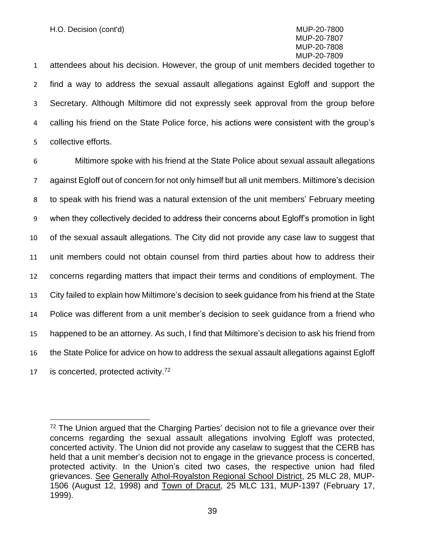attendees about his decision. However, the group of unit members decided together to find a way to address the sexual assault allegations against Egloff and support the Secretary. Although Miltimore did not expressly seek approval from the group before calling his friend on the State Police force, his actions were consistent with the group's collective efforts.

 Miltimore spoke with his friend at the State Police about sexual assault allegations against Egloff out of concern for not only himself but all unit members. Miltimore's decision to speak with his friend was a natural extension of the unit members' February meeting when they collectively decided to address their concerns about Egloff's promotion in light of the sexual assault allegations. The City did not provide any case law to suggest that unit members could not obtain counsel from third parties about how to address their concerns regarding matters that impact their terms and conditions of employment. The City failed to explain how Miltimore's decision to seek guidance from his friend at the State Police was different from a unit member's decision to seek guidance from a friend who happened to be an attorney. As such, I find that Miltimore's decision to ask his friend from the State Police for advice on how to address the sexual assault allegations against Egloff 17 is concerted, protected activity.<sup>72</sup>

 $72$  The Union argued that the Charging Parties' decision not to file a grievance over their concerns regarding the sexual assault allegations involving Egloff was protected, concerted activity. The Union did not provide any caselaw to suggest that the CERB has held that a unit member's decision not to engage in the grievance process is concerted, protected activity. In the Union's cited two cases, the respective union had filed grievances. See Generally Athol-Royalston Regional School District, 25 MLC 28, MUP-1506 (August 12, 1998) and Town of Dracut, 25 MLC 131, MUP-1397 (February 17, 1999).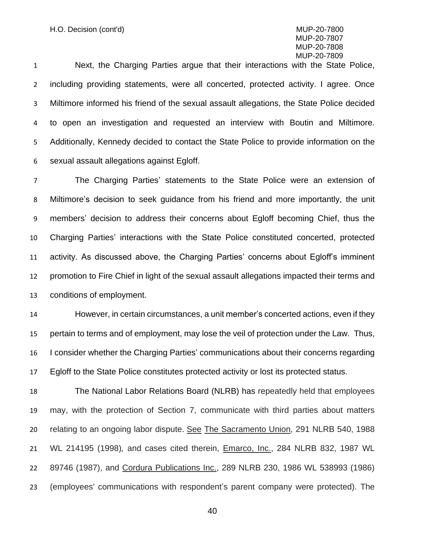Next, the Charging Parties argue that their interactions with the State Police, including providing statements, were all concerted, protected activity. I agree. Once Miltimore informed his friend of the sexual assault allegations, the State Police decided to open an investigation and requested an interview with Boutin and Miltimore. Additionally, Kennedy decided to contact the State Police to provide information on the sexual assault allegations against Egloff.

 The Charging Parties' statements to the State Police were an extension of Miltimore's decision to seek guidance from his friend and more importantly, the unit members' decision to address their concerns about Egloff becoming Chief, thus the Charging Parties' interactions with the State Police constituted concerted, protected activity. As discussed above, the Charging Parties' concerns about Egloff's imminent promotion to Fire Chief in light of the sexual assault allegations impacted their terms and conditions of employment.

 However, in certain circumstances, a unit member's concerted actions, even if they pertain to terms and of employment, may lose the veil of protection under the Law. Thus, I consider whether the Charging Parties' communications about their concerns regarding Egloff to the State Police constitutes protected activity or lost its protected status.

 The National Labor Relations Board (NLRB) has repeatedly held that employees may, with the protection of Section 7, communicate with third parties about matters relating to an ongoing labor dispute. See The Sacramento Union*,* 291 NLRB 540, 1988 WL 214195 (1998)*,* and cases cited therein, Emarco, Inc., 284 NLRB 832, 1987 WL 89746 (1987), and Cordura Publications Inc., 289 NLRB 230, 1986 WL 538993 (1986) (employees' communications with respondent's parent company were protected). The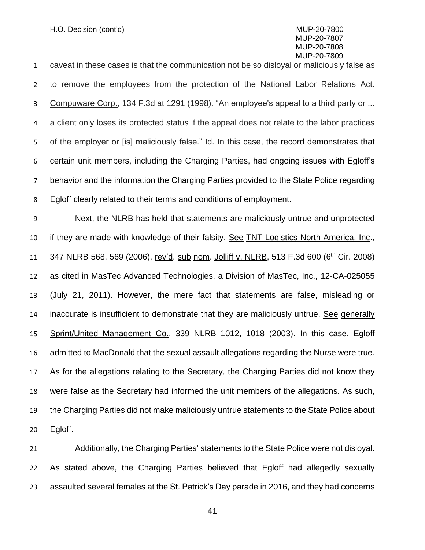caveat in these cases is that the communication not be so disloyal or maliciously false as to remove the employees from the protection of the National Labor Relations Act. Compuware Corp., 134 F.3d at 1291 (1998). "An employee's appeal to a third party or ... a client only loses its protected status if the appeal does not relate to the labor practices of the employer or [is] maliciously false." Id. In this case, the record demonstrates that certain unit members, including the Charging Parties, had ongoing issues with Egloff's behavior and the information the Charging Parties provided to the State Police regarding Egloff clearly related to their terms and conditions of employment.

 Next, the NLRB has held that statements are maliciously untrue and unprotected if they are made with knowledge of their falsity. See TNT Logistics North America, Inc., 11 347 NLRB 568, 569 (2006), rev'd. sub nom. Jolliff v. NLRB, 513 F.3d 600 (6<sup>th</sup> Cir. 2008) as cited in MasTec Advanced Technologies, a Division of MasTec, Inc., 12-CA-025055 (July 21, 2011). However, the mere fact that statements are false, misleading or inaccurate is insufficient to demonstrate that they are maliciously untrue. See generally 15 Sprint/United Management Co., 339 NLRB 1012, 1018 (2003). In this case, Egloff admitted to MacDonald that the sexual assault allegations regarding the Nurse were true. As for the allegations relating to the Secretary, the Charging Parties did not know they were false as the Secretary had informed the unit members of the allegations. As such, the Charging Parties did not make maliciously untrue statements to the State Police about Egloff.

 Additionally, the Charging Parties' statements to the State Police were not disloyal. As stated above, the Charging Parties believed that Egloff had allegedly sexually assaulted several females at the St. Patrick's Day parade in 2016, and they had concerns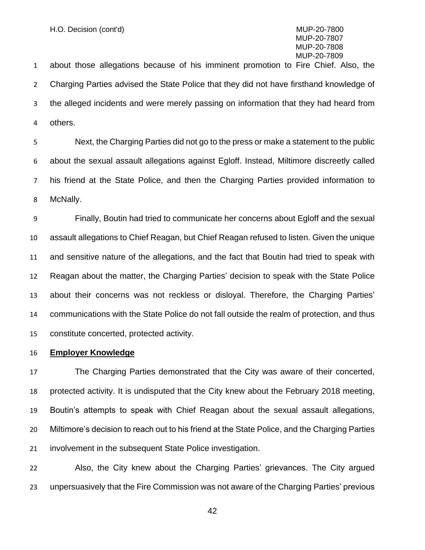about those allegations because of his imminent promotion to Fire Chief. Also, the Charging Parties advised the State Police that they did not have firsthand knowledge of the alleged incidents and were merely passing on information that they had heard from others.

 Next, the Charging Parties did not go to the press or make a statement to the public about the sexual assault allegations against Egloff. Instead, Miltimore discreetly called his friend at the State Police, and then the Charging Parties provided information to McNally.

 Finally, Boutin had tried to communicate her concerns about Egloff and the sexual assault allegations to Chief Reagan, but Chief Reagan refused to listen. Given the unique and sensitive nature of the allegations, and the fact that Boutin had tried to speak with Reagan about the matter, the Charging Parties' decision to speak with the State Police about their concerns was not reckless or disloyal. Therefore, the Charging Parties' communications with the State Police do not fall outside the realm of protection, and thus constitute concerted, protected activity.

#### **Employer Knowledge**

 The Charging Parties demonstrated that the City was aware of their concerted, protected activity. It is undisputed that the City knew about the February 2018 meeting, Boutin's attempts to speak with Chief Reagan about the sexual assault allegations, Miltimore's decision to reach out to his friend at the State Police, and the Charging Parties involvement in the subsequent State Police investigation.

 Also, the City knew about the Charging Parties' grievances. The City argued unpersuasively that the Fire Commission was not aware of the Charging Parties' previous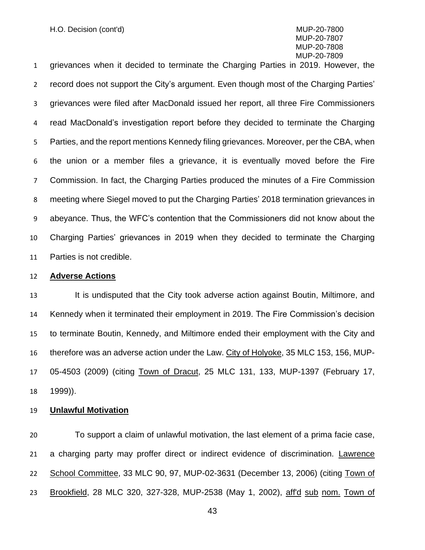grievances when it decided to terminate the Charging Parties in 2019. However, the record does not support the City's argument. Even though most of the Charging Parties' grievances were filed after MacDonald issued her report, all three Fire Commissioners read MacDonald's investigation report before they decided to terminate the Charging Parties, and the report mentions Kennedy filing grievances. Moreover, per the CBA, when the union or a member files a grievance, it is eventually moved before the Fire Commission. In fact, the Charging Parties produced the minutes of a Fire Commission meeting where Siegel moved to put the Charging Parties' 2018 termination grievances in abeyance. Thus, the WFC's contention that the Commissioners did not know about the Charging Parties' grievances in 2019 when they decided to terminate the Charging Parties is not credible.

#### **Adverse Actions**

13 It is undisputed that the City took adverse action against Boutin, Miltimore, and Kennedy when it terminated their employment in 2019. The Fire Commission's decision to terminate Boutin, Kennedy, and Miltimore ended their employment with the City and therefore was an adverse action under the Law. City of Holyoke, 35 MLC 153, 156, MUP- 05-4503 (2009) (citing Town of Dracut, 25 MLC 131, 133, MUP-1397 (February 17, 1999)).

#### **Unlawful Motivation**

 To support a claim of unlawful motivation, the last element of a prima facie case, a charging party may proffer direct or [i](http://sll.gvpi.net/document.php?id=labor:0029602-0000000&type=hitlist&num=6#hit9)ndirect evidenc[e](http://sll.gvpi.net/document.php?id=labor:0029602-0000000&type=hitlist&num=6#hit12) of discrimination. Lawrence School Committee, 33 MLC 90, 97, MUP-02-3631 (December 13, 2006) (citing Town of 23 Brookfield, 28 MLC 320, 327-328, MUP-2538 (May 1, 2002), aff'd sub nom. Town of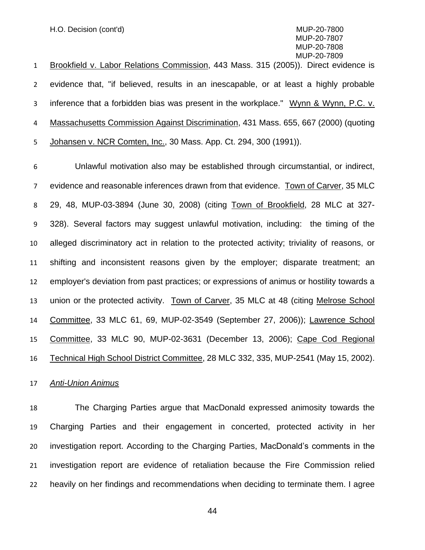H.O. Decision (cont'd) MUP-20-7800

 MUP-20-7807 MUP-20-7808 MUP-20-7809

1 Brookfield v. Labor Relations Commission, [443 Mass. 315](http://sll.gvpi.net/document.php?field=jd&value=sjcapp:443_mass._315) (2005)). Direct evidence is evidence that, "if believed, results in an inescapable, or at least a highly probable inference that a forbidden bias was present in the workplace." Wynn & Wynn, P.C. v. Massachusetts Commission Against Discrimination, [431 Mass. 655,](http://sll.gvpi.net/document.php?field=jd&value=sjcapp:431_mass._655) 667 (2000) (quoting 5 Johansen v. NCR Comten, Inc., [30 Mass. App. Ct. 294,](http://sll.gvpi.net/document.php?field=jd&value=sjcapp:30_mass._app._ct._294) 300 (1991)).

 Unlawful motivation also may be established through circumstantial, or indirect, evidence and reasonable inferences drawn from that evidence. Town of Carver, 35 MLC 29, 48, MUP-03-3894 (June 30, 2008) (citing Town of Brookfield, 28 MLC at 327- 328). Several factors may suggest unlawful motivation, including: the timing of the alleged discriminatory act in relation to the protected activity; triviality of reasons, or shifting and inconsistent reasons given by the employer; disparate treatment; an employer's deviation from past practices; or expressions of animus or hostility towards a union or the protected activity. Town of Carver, 35 MLC at 48 (citing Melrose School Committee, 33 MLC 61, 69, MUP-02-3549 (September 27, 2006)); Lawrence School Committee, 33 MLC 90, MUP-02-3631 (December 13, 2006); Cape Cod Regional Technical High School District Committee, 28 MLC 332, 335, MUP-2541 (May 15, 2002).

*Anti-Union Animus*

 The Charging Parties argue that MacDonald expressed animosity towards the Charging Parties and their engagement in concerted, protected activity in her investigation report. According to the Charging Parties, MacDonald's comments in the investigation report are evidence of retaliation because the Fire Commission relied heavily on her findings and recommendations when deciding to terminate them. I agree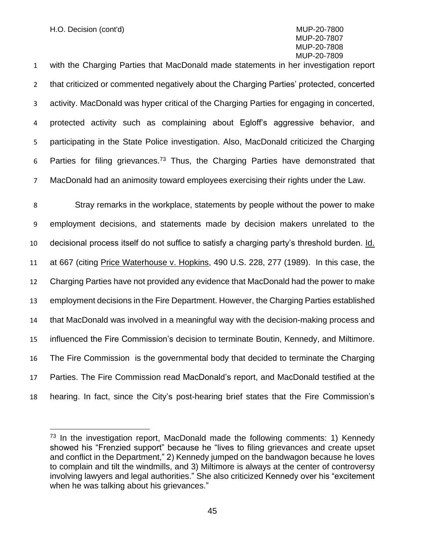with the Charging Parties that MacDonald made statements in her investigation report that criticized or commented negatively about the Charging Parties' protected, concerted activity. MacDonald was hyper critical of the Charging Parties for engaging in concerted, protected activity such as complaining about Egloff's aggressive behavior, and participating in the State Police investigation. Also, MacDonald criticized the Charging 6 Parties for filing grievances.<sup>73</sup> Thus, the Charging Parties have demonstrated that MacDonald had an animosity toward employees exercising their rights under the Law.

 Stray remarks in the workplace, statements by people without the power to make employment decisions, and statements made by decision makers unrelated to the decisional process itself do not suffice to satisfy a charging party's threshold burden. Id. 11 at 667 (citing Price Waterhouse v. Hopkins, 490 U.S. 228, 277 (1989). In this case, the Charging Parties have not provided any evidence that MacDonald had the power to make employment decisions in the Fire Department. However, the Charging Parties established that MacDonald was involved in a meaningful way with the decision-making process and influenced the Fire Commission's decision to terminate Boutin, Kennedy, and Miltimore. The Fire Commission is the governmental body that decided to terminate the Charging Parties. The Fire Commission read MacDonald's report, and MacDonald testified at the hearing. In fact, since the City's post-hearing brief states that the Fire Commission's

 In the investigation report, MacDonald made the following comments: 1) Kennedy showed his "Frenzied support" because he "lives to filing grievances and create upset and conflict in the Department," 2) Kennedy jumped on the bandwagon because he loves to complain and tilt the windmills, and 3) Miltimore is always at the center of controversy involving lawyers and legal authorities." She also criticized Kennedy over his "excitement when he was talking about his grievances."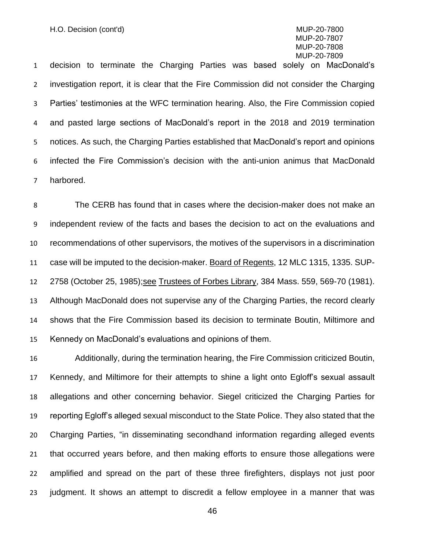decision to terminate the Charging Parties was based solely on MacDonald's investigation report, it is clear that the Fire Commission did not consider the Charging Parties' testimonies at the WFC termination hearing. Also, the Fire Commission copied and pasted large sections of MacDonald's report in the 2018 and 2019 termination notices. As such, the Charging Parties established that MacDonald's report and opinions infected the Fire Commission's decision with the anti-union animus that MacDonald harbored.

 The CERB has found that in cases where the decision-maker does not make an independent review of the facts and bases the decision to act on the evaluations and recommendations of other supervisors, the motives of the supervisors in a discrimination 11 case will be imputed to the decision-maker. Board of Regents, 12 MLC 1315, 1335. SUP- 2758 (October 25, 1985);see Trustees of Forbes Library, 384 Mass. 559, 569-70 (1981). Although MacDonald does not supervise any of the Charging Parties, the record clearly shows that the Fire Commission based its decision to terminate Boutin, Miltimore and Kennedy on MacDonald's evaluations and opinions of them.

 Additionally, during the termination hearing, the Fire Commission criticized Boutin, Kennedy, and Miltimore for their attempts to shine a light onto Egloff's sexual assault allegations and other concerning behavior. Siegel criticized the Charging Parties for reporting Egloff's alleged sexual misconduct to the State Police. They also stated that the Charging Parties, "in disseminating secondhand information regarding alleged events that occurred years before, and then making efforts to ensure those allegations were amplified and spread on the part of these three firefighters, displays not just poor judgment. It shows an attempt to discredit a fellow employee in a manner that was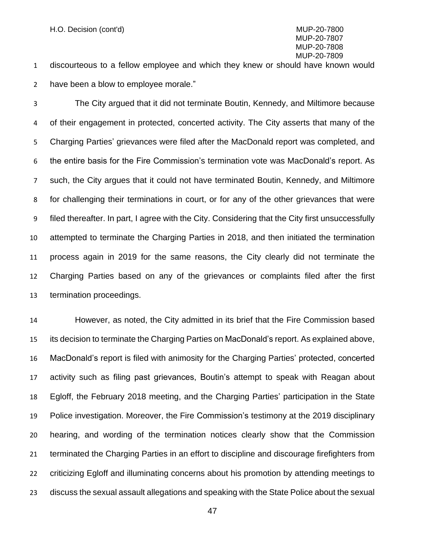discourteous to a fellow employee and which they knew or should have known would have been a blow to employee morale."

 The City argued that it did not terminate Boutin, Kennedy, and Miltimore because of their engagement in protected, concerted activity. The City asserts that many of the Charging Parties' grievances were filed after the MacDonald report was completed, and the entire basis for the Fire Commission's termination vote was MacDonald's report. As such, the City argues that it could not have terminated Boutin, Kennedy, and Miltimore for challenging their terminations in court, or for any of the other grievances that were filed thereafter. In part, I agree with the City. Considering that the City first unsuccessfully attempted to terminate the Charging Parties in 2018, and then initiated the termination process again in 2019 for the same reasons, the City clearly did not terminate the Charging Parties based on any of the grievances or complaints filed after the first termination proceedings.

 However, as noted, the City admitted in its brief that the Fire Commission based its decision to terminate the Charging Parties on MacDonald's report. As explained above, MacDonald's report is filed with animosity for the Charging Parties' protected, concerted activity such as filing past grievances, Boutin's attempt to speak with Reagan about Egloff, the February 2018 meeting, and the Charging Parties' participation in the State Police investigation. Moreover, the Fire Commission's testimony at the 2019 disciplinary hearing, and wording of the termination notices clearly show that the Commission terminated the Charging Parties in an effort to discipline and discourage firefighters from criticizing Egloff and illuminating concerns about his promotion by attending meetings to discuss the sexual assault allegations and speaking with the State Police about the sexual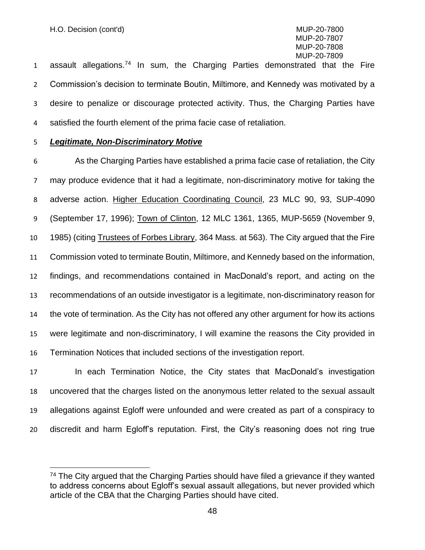1 assault allegations.<sup>74</sup> In sum, the Charging Parties demonstrated that the Fire Commission's decision to terminate Boutin, Miltimore, and Kennedy was motivated by a desire to penalize or discourage protected activity. Thus, the Charging Parties have satisfied the fourth element of the prima facie case of retaliation.

#### *Legitimate, Non-Discriminatory Motive*

 As the Charging Parties have established a prima facie case of retaliation, the City may produce evidence that it had a legitimate, non-discriminatory motive for taking the adverse action. Higher Education Coordinating Council, 23 MLC 90, 93, SUP-4090 (September 17, 1996); Town of Clinton, 12 MLC 1361, 1365, MUP-5659 (November 9, 1985) (citing Trustees of Forbes Library, 364 Mass. at 563). The City argued that the Fire Commission voted to terminate Boutin, Miltimore, and Kennedy based on the information, findings, and recommendations contained in MacDonald's report, and acting on the recommendations of an outside investigator is a legitimate, non-discriminatory reason for the vote of termination. As the City has not offered any other argument for how its actions were legitimate and non-discriminatory, I will examine the reasons the City provided in Termination Notices that included sections of the investigation report.

 In each Termination Notice, the City states that MacDonald's investigation uncovered that the charges listed on the anonymous letter related to the sexual assault allegations against Egloff were unfounded and were created as part of a conspiracy to discredit and harm Egloff's reputation. First, the City's reasoning does not ring true

<sup>&</sup>lt;sup>74</sup> The City argued that the Charging Parties should have filed a grievance if they wanted to address concerns about Egloff's sexual assault allegations, but never provided which article of the CBA that the Charging Parties should have cited.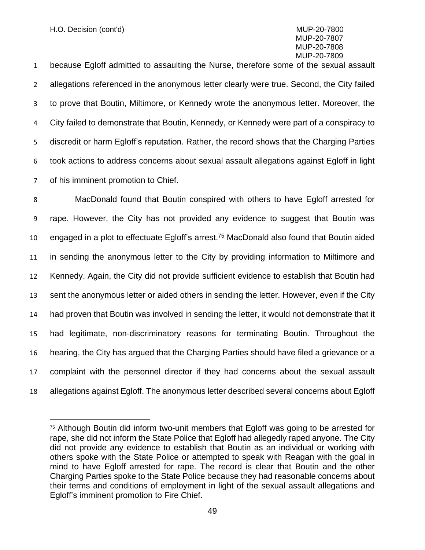because Egloff admitted to assaulting the Nurse, therefore some of the sexual assault allegations referenced in the anonymous letter clearly were true. Second, the City failed to prove that Boutin, Miltimore, or Kennedy wrote the anonymous letter. Moreover, the City failed to demonstrate that Boutin, Kennedy, or Kennedy were part of a conspiracy to discredit or harm Egloff's reputation. Rather, the record shows that the Charging Parties took actions to address concerns about sexual assault allegations against Egloff in light of his imminent promotion to Chief.

 MacDonald found that Boutin conspired with others to have Egloff arrested for rape. However, the City has not provided any evidence to suggest that Boutin was 10 engaged in a plot to effectuate Egloff's arrest.<sup>75</sup> MacDonald also found that Boutin aided in sending the anonymous letter to the City by providing information to Miltimore and Kennedy. Again, the City did not provide sufficient evidence to establish that Boutin had sent the anonymous letter or aided others in sending the letter. However, even if the City had proven that Boutin was involved in sending the letter, it would not demonstrate that it had legitimate, non-discriminatory reasons for terminating Boutin. Throughout the hearing, the City has argued that the Charging Parties should have filed a grievance or a complaint with the personnel director if they had concerns about the sexual assault allegations against Egloff. The anonymous letter described several concerns about Egloff

 Although Boutin did inform two-unit members that Egloff was going to be arrested for rape, she did not inform the State Police that Egloff had allegedly raped anyone. The City did not provide any evidence to establish that Boutin as an individual or working with others spoke with the State Police or attempted to speak with Reagan with the goal in mind to have Egloff arrested for rape. The record is clear that Boutin and the other Charging Parties spoke to the State Police because they had reasonable concerns about their terms and conditions of employment in light of the sexual assault allegations and Egloff's imminent promotion to Fire Chief.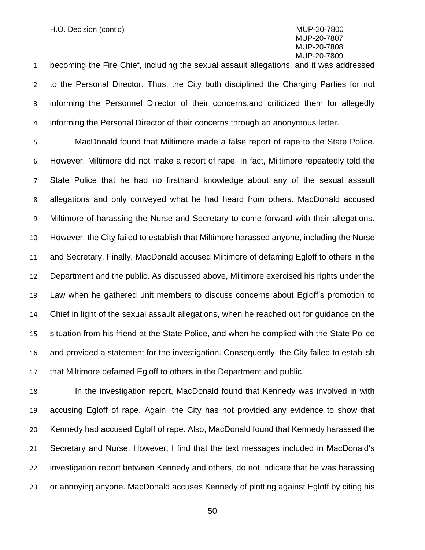becoming the Fire Chief, including the sexual assault allegations, and it was addressed to the Personal Director. Thus, the City both disciplined the Charging Parties for not informing the Personnel Director of their concerns,and criticized them for allegedly informing the Personal Director of their concerns through an anonymous letter.

 MacDonald found that Miltimore made a false report of rape to the State Police. However, Miltimore did not make a report of rape. In fact, Miltimore repeatedly told the State Police that he had no firsthand knowledge about any of the sexual assault allegations and only conveyed what he had heard from others. MacDonald accused Miltimore of harassing the Nurse and Secretary to come forward with their allegations. However, the City failed to establish that Miltimore harassed anyone, including the Nurse and Secretary. Finally, MacDonald accused Miltimore of defaming Egloff to others in the Department and the public. As discussed above, Miltimore exercised his rights under the Law when he gathered unit members to discuss concerns about Egloff's promotion to Chief in light of the sexual assault allegations, when he reached out for guidance on the situation from his friend at the State Police, and when he complied with the State Police and provided a statement for the investigation. Consequently, the City failed to establish that Miltimore defamed Egloff to others in the Department and public.

 In the investigation report, MacDonald found that Kennedy was involved in with accusing Egloff of rape. Again, the City has not provided any evidence to show that Kennedy had accused Egloff of rape. Also, MacDonald found that Kennedy harassed the Secretary and Nurse. However, I find that the text messages included in MacDonald's investigation report between Kennedy and others, do not indicate that he was harassing or annoying anyone. MacDonald accuses Kennedy of plotting against Egloff by citing his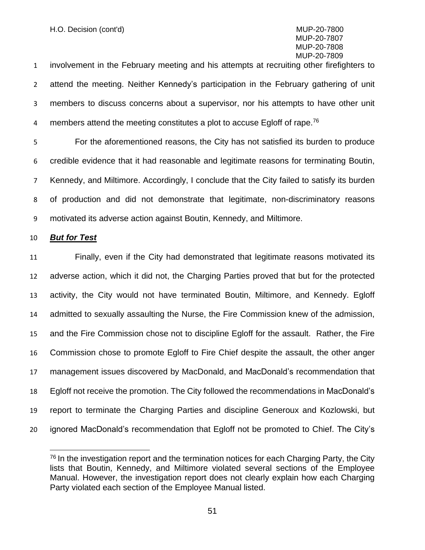involvement in the February meeting and his attempts at recruiting other firefighters to attend the meeting. Neither Kennedy's participation in the February gathering of unit members to discuss concerns about a supervisor, nor his attempts to have other unit 4 members attend the meeting constitutes a plot to accuse Egloff of rape.<sup>76</sup>

 For the aforementioned reasons, the City has not satisfied its burden to produce credible evidence that it had reasonable and legitimate reasons for terminating Boutin, Kennedy, and Miltimore. Accordingly, I conclude that the City failed to satisfy its burden of production and did not demonstrate that legitimate, non-discriminatory reasons motivated its adverse action against Boutin, Kennedy, and Miltimore.

#### *But for Test*

 Finally, even if the City had demonstrated that legitimate reasons motivated its adverse action, which it did not, the Charging Parties proved that but for the protected activity, the City would not have terminated Boutin, Miltimore, and Kennedy. Egloff admitted to sexually assaulting the Nurse, the Fire Commission knew of the admission, and the Fire Commission chose not to discipline Egloff for the assault. Rather, the Fire Commission chose to promote Egloff to Fire Chief despite the assault, the other anger management issues discovered by MacDonald, and MacDonald's recommendation that Egloff not receive the promotion. The City followed the recommendations in MacDonald's report to terminate the Charging Parties and discipline Generoux and Kozlowski, but ignored MacDonald's recommendation that Egloff not be promoted to Chief. The City's

 In the investigation report and the termination notices for each Charging Party, the City lists that Boutin, Kennedy, and Miltimore violated several sections of the Employee Manual. However, the investigation report does not clearly explain how each Charging Party violated each section of the Employee Manual listed.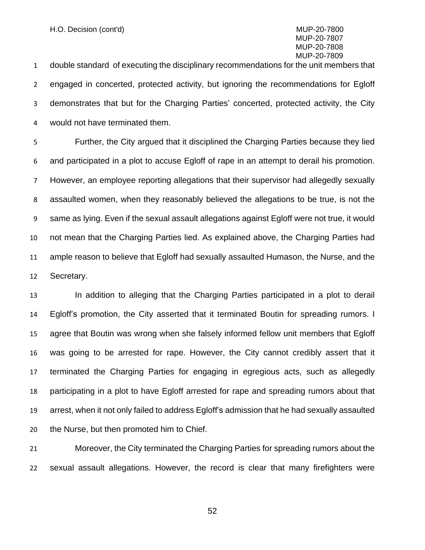double standard of executing the disciplinary recommendations for the unit members that engaged in concerted, protected activity, but ignoring the recommendations for Egloff demonstrates that but for the Charging Parties' concerted, protected activity, the City would not have terminated them.

 Further, the City argued that it disciplined the Charging Parties because they lied and participated in a plot to accuse Egloff of rape in an attempt to derail his promotion. However, an employee reporting allegations that their supervisor had allegedly sexually assaulted women, when they reasonably believed the allegations to be true, is not the same as lying. Even if the sexual assault allegations against Egloff were not true, it would not mean that the Charging Parties lied. As explained above, the Charging Parties had ample reason to believe that Egloff had sexually assaulted Humason, the Nurse, and the Secretary.

 In addition to alleging that the Charging Parties participated in a plot to derail Egloff's promotion, the City asserted that it terminated Boutin for spreading rumors. I agree that Boutin was wrong when she falsely informed fellow unit members that Egloff was going to be arrested for rape. However, the City cannot credibly assert that it terminated the Charging Parties for engaging in egregious acts, such as allegedly participating in a plot to have Egloff arrested for rape and spreading rumors about that arrest, when it not only failed to address Egloff's admission that he had sexually assaulted the Nurse, but then promoted him to Chief.

 Moreover, the City terminated the Charging Parties for spreading rumors about the sexual assault allegations. However, the record is clear that many firefighters were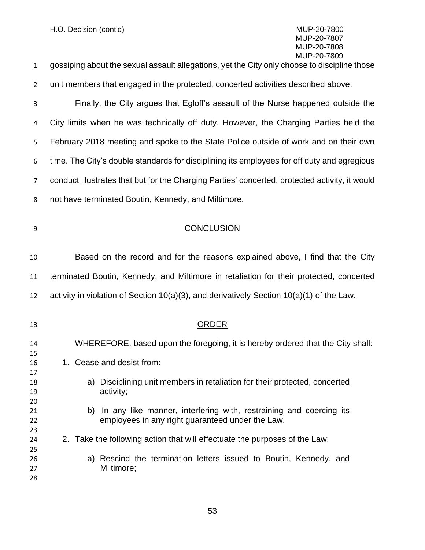| 1              | gossiping about the sexual assault allegations, yet the City only choose to discipline those                                 |
|----------------|------------------------------------------------------------------------------------------------------------------------------|
| $\overline{2}$ | unit members that engaged in the protected, concerted activities described above.                                            |
| 3              | Finally, the City argues that Egloff's assault of the Nurse happened outside the                                             |
| 4              | City limits when he was technically off duty. However, the Charging Parties held the                                         |
| 5              | February 2018 meeting and spoke to the State Police outside of work and on their own                                         |
| 6              | time. The City's double standards for disciplining its employees for off duty and egregious                                  |
| 7              | conduct illustrates that but for the Charging Parties' concerted, protected activity, it would                               |
| 8              | not have terminated Boutin, Kennedy, and Miltimore.                                                                          |
| 9              | <b>CONCLUSION</b>                                                                                                            |
| 10             | Based on the record and for the reasons explained above, I find that the City                                                |
| 11             | terminated Boutin, Kennedy, and Miltimore in retaliation for their protected, concerted                                      |
| 12             | activity in violation of Section 10(a)(3), and derivatively Section 10(a)(1) of the Law.                                     |
| 13             | ORDER                                                                                                                        |
| 14<br>15       | WHEREFORE, based upon the foregoing, it is hereby ordered that the City shall:                                               |
| 16<br>17       | 1. Cease and desist from:                                                                                                    |
| 18<br>19       | a) Disciplining unit members in retaliation for their protected, concerted<br>activity;                                      |
| 20<br>21<br>22 | In any like manner, interfering with, restraining and coercing its<br>b)<br>employees in any right guaranteed under the Law. |
| 23<br>24<br>25 | 2. Take the following action that will effectuate the purposes of the Law:                                                   |
| 26<br>27<br>28 | a) Rescind the termination letters issued to Boutin, Kennedy, and<br>Miltimore;                                              |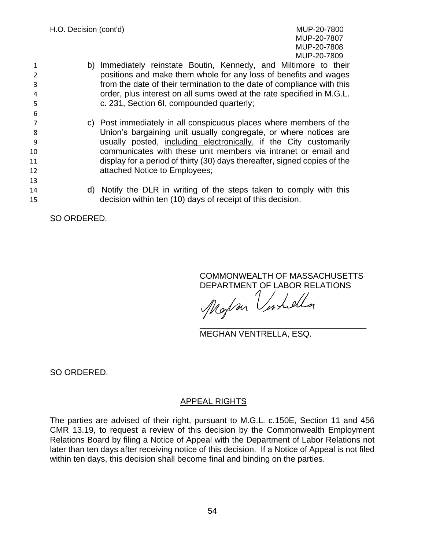- 1 b) Immediately reinstate Boutin, Kennedy, and Miltimore to their 2 positions and make them whole for any loss of benefits and wages 3 from the date of their termination to the date of compliance with this 4 order, plus interest on all sums owed at the rate specified in M.G.L. 5 c. 231, Section 6I, compounded quarterly;
- 7 c) Post immediately in all conspicuous places where members of the 8 Union's bargaining unit usually congregate, or where notices are 9 usually posted, including electronically, if the City customarily 10 communicates with these unit members via intranet or email and 11 display for a period of thirty (30) days thereafter, signed copies of the 12 **attached Notice to Employees;**
- 14 d) Notify the DLR in writing of the steps taken to comply with this 15 decision within ten (10) days of receipt of this decision.

SO ORDERED.

6

13

COMMONWEALTH OF MASSACHUSETTS DEPARTMENT OF LABOR RELATIONS

Maylan U \_\_\_\_\_\_\_\_\_\_\_\_\_\_\_\_\_\_\_\_\_\_\_\_\_\_\_\_\_\_\_\_\_\_\_\_

MEGHAN VENTRELLA, ESQ.

SO ORDERED.

#### APPEAL RIGHTS

The parties are advised of their right, pursuant to M.G.L. c.150E, Section 11 and 456 CMR 13.19, to request a review of this decision by the Commonwealth Employment Relations Board by filing a Notice of Appeal with the Department of Labor Relations not later than ten days after receiving notice of this decision. If a Notice of Appeal is not filed within ten days, this decision shall become final and binding on the parties.